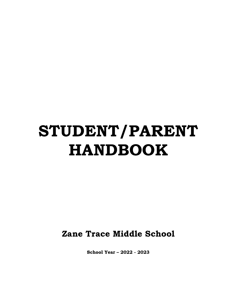# STUDENT/PARENT HANDBOOK

Zane Trace Middle School

School Year – 2022 - 2023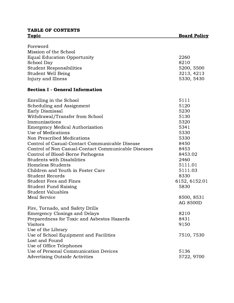## TABLE OF CONTENTS Topic Board Policy

# Foreword Mission of the School Equal Education Opportunity 2260 School Day 8210 Student Responsibilities 5200, 5500 Student Well Being 3213, 4213 Injury and Illness 5330, 5430 Section I - General Information Enrolling in the School 5111 Scheduling and Assignment 5120 Early Dismissal 5230 Withdrawal/Transfer from School 5130 Immunizations 5320 Emergency Medical Authorization 5341 Use of Medications 5330 Non Prescribed Medications 5330 Control of Casual-Contact Communicable Disease 8450 Control of Non Casual-Contact Communicable Diseases 8453 Control of Blood-Borne Pathogens 8453.02 Students with Disabilities 2460 Homeless Students 5111.01 Children and Youth in Foster Care **5111.03** Student Records 8330 Student Fees and Fines 6152, 6152.01 Student Fund Raising 5830 Student Valuables Meal Service 8500, 8531 AG 8500D Fire, Tornado, and Safety Drills Emergency Closings and Delays 8210 Preparedness for Toxic and Asbestos Hazards 8431 Visitors 9150 Use of the Library Use of School Equipment and Facilities 7510, 7530 Lost and Found Use of Office Telephones Use of Personal Communication Devices 5136 Advertising Outside Activities 61 and 1990 100 and 100 and 100 and 100 and 100 and 100 and 100 and 100 and 100 and 100 and 100 and 100 and 100 and 100 and 100 and 100 and 100 and 100 and 100 and 100 and 100 and 100 and 100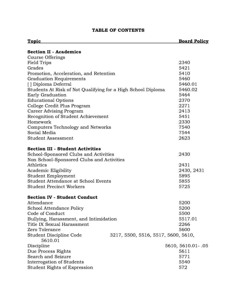# TABLE OF CONTENTS

| Topic                                                                     | <b>Board Policy</b> |
|---------------------------------------------------------------------------|---------------------|
| <b>Section II - Academics</b>                                             |                     |
| Course Offerings                                                          |                     |
| Field Trips                                                               | 2340                |
| Grades                                                                    | 5421                |
| Promotion, Acceleration, and Retention                                    | 5410                |
| <b>Graduation Requirements</b>                                            | 5460                |
| [ ] Diploma Deferral                                                      | 5460.01             |
| Students At Risk of Not Qualifying for a High School Diploma              | 5460.02             |
| <b>Early Graduation</b>                                                   | 5464                |
| <b>Educational Options</b>                                                | 2370                |
| College Credit Plus Program                                               | 2271                |
| <b>Career Advising Program</b>                                            | 2413                |
| Recognition of Student Achievement                                        | 5451                |
| Homework                                                                  | 2330                |
| <b>Computers Technology and Networks</b>                                  | 7540                |
| Social Media                                                              | 7544                |
| <b>Student Assessment</b>                                                 | 2623                |
| <b>Section III - Student Activities</b>                                   |                     |
| School-Sponsored Clubs and Activities                                     | 2430                |
| Non School-Sponsored Clubs and Activities                                 |                     |
| Athletics                                                                 | 2431                |
| Academic Eligibility                                                      | 2430, 2431          |
| Student Employment                                                        | 5895                |
| <b>Student Attendance at School Events</b>                                | 5855                |
| <b>Student Precinct Workers</b>                                           | 5725                |
| <b>Section IV - Student Conduct</b>                                       |                     |
| Attendance                                                                | 5200                |
| <b>School Attendance Policy</b>                                           | 5200                |
| Code of Conduct                                                           | 5500                |
| Bullying, Harassment, and Intimidation                                    | 5517.01             |
| Title IX Sexual Harassment                                                | 2266                |
| Zero Tolerance                                                            | 5600                |
| Student Discipline Code<br>3217, 5500, 5516, 5517, 5600, 5610,<br>5610.01 |                     |
| Discipline                                                                | 5610, 5610.01 - .05 |
| Due Process Rights                                                        | 5611                |
| Search and Seizure                                                        | 5771                |
| Interrogation of Students                                                 | 5540                |
| <b>Student Rights of Expression</b>                                       | 572                 |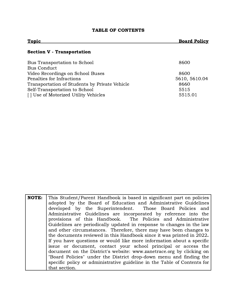# TABLE OF CONTENTS

| <b>Topic</b>                                  | <b>Board Policy</b> |
|-----------------------------------------------|---------------------|
| <b>Section V - Transportation</b>             |                     |
| Bus Transportation to School                  | 8600                |
| <b>Bus Conduct</b>                            |                     |
| Video Recordings on School Buses              | 8600                |
| Penalties for Infractions                     | 5610, 5610.04       |
| Transportation of Students by Private Vehicle | 8660                |
| Self-Transportation to School                 | 5515                |

[ ] Use of Motorized Utility Vehicles 5515.01

| <b>NOTE:</b> | This Student/Parent Handbook is based in significant part on policies    |
|--------------|--------------------------------------------------------------------------|
|              | adopted by the Board of Education and Administrative Guidelines          |
|              | developed by the Superintendent. Those Board Policies and                |
|              | Administrative Guidelines are incorporated by reference into the         |
|              | provisions of this Handbook. The Policies and Administrative             |
|              | Guidelines are periodically updated in response to changes in the law    |
|              | and other circumstances. Therefore, there may have been changes to       |
|              | the documents reviewed in this Handbook since it was printed in 2022.    |
|              | If you have questions or would like more information about a specific    |
|              | issue or document, contact your school principal or access the           |
|              | document on the District's website: www.zanetrace.org by clicking on     |
|              | "Board Policies" under the District drop-down menu and finding the       |
|              | specific policy or administrative guideline in the Table of Contents for |
|              | that section.                                                            |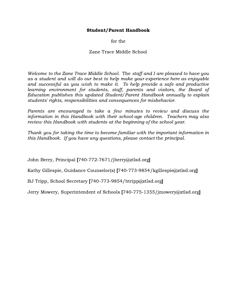## Student/Parent Handbook

for the

Zane Trace Middle School

Welcome to the Zane Trace Middle School. The staff and I are pleased to have you as a student and will do our best to help make your experience here as enjoyable and successful as you wish to make it. To help provide a safe and productive learning environment for students, staff, parents and visitors, the Board of Education publishes this updated Student/Parent Handbook annually to explain students' rights, responsibilities and consequences for misbehavior.

Parents are encouraged to take a few minutes to review and discuss the information in this Handbook with their school-age children. Teachers may also review this Handbook with students at the beginning of the school year.

Thank you for taking the time to become familiar with the important information in this Handbook. If you have any questions, please contact the principal.

John Berry, Principal [740-772-7671/jberry@ztlsd.org]

Kathy Gillespie, Guidance Counselor(s) [740-773-9854/kgillespie@ztlsd.org]

BJ Tripp, School Secretary [740-773-9854/btripp@ztlsd.org]

Jerry Mowery, Superintendent of Schools [740-775-1355/jmowery@ztlsd.org]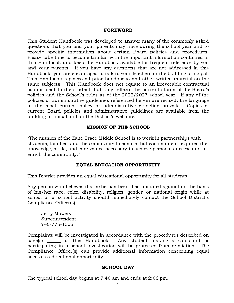#### FOREWORD

This Student Handbook was developed to answer many of the commonly asked questions that you and your parents may have during the school year and to provide specific information about certain Board policies and procedures. Please take time to become familiar with the important information contained in this Handbook and keep the Handbook available for frequent reference by you and your parents. If you have any questions that are not addressed in this Handbook, you are encouraged to talk to your teachers or the building principal. This Handbook replaces all prior handbooks and other written material on the same subjects. This Handbook does not equate to an irrevocable contractual commitment to the student, but only reflects the current status of the Board's policies and the School's rules as of the 2022/2023 school year. If any of the policies or administrative guidelines referenced herein are revised, the language in the most current policy or administrative guideline prevails. Copies of current Board policies and administrative guidelines are available from the building principal and on the District's web site.

#### MISSION OF THE SCHOOL

"The mission of the Zane Trace MIddle School is to work in partnerships with students, families, and the community to ensure that each student acquires the knowledge, skills, and core values necessary to achieve personal success and to enrich the community."

#### EQUAL EDUCATION OPPORTUNITY

This District provides an equal educational opportunity for all students.

Any person who believes that s/he has been discriminated against on the basis of his/her race, color, disability, religion, gender, or national origin while at school or a school activity should immediately contact the School District's Compliance Officer(s):

Jerry Mowery Superintendent 740-775-1355

Complaints will be investigated in accordance with the procedures described on page(s) \_\_\_\_\_\_ of this Handbook. Any student making a complaint or participating in a school investigation will be protected from retaliation. The Compliance Officer(s) can provide additional information concerning equal access to educational opportunity.

#### SCHOOL DAY

The typical school day begins at 7:40 am and ends at 2:06 pm.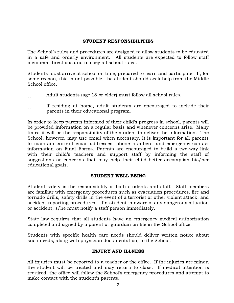#### STUDENT RESPONSIBILITIES

The School's rules and procedures are designed to allow students to be educated in a safe and orderly environment. All students are expected to follow staff members' directions and to obey all school rules.

Students must arrive at school on time, prepared to learn and participate. If, for some reason, this is not possible, the student should seek help from the Middle School office.

- [ ] Adult students (age 18 or older) must follow all school rules.
- [ ] If residing at home, adult students are encouraged to include their parents in their educational program.

In order to keep parents informed of their child's progress in school, parents will be provided information on a regular basis and whenever concerns arise. Many times it will be the responsibility of the student to deliver the information. The School, however, may use email when necessary. It is important for all parents to maintain current email addresses, phone numbers, and emergency contact information on Final Forms. Parents are encouraged to build a two-way link with their child's teachers and support staff by informing the staff of suggestions or concerns that may help their child better accomplish his/her educational goals.

## STUDENT WELL BEING

Student safety is the responsibility of both students and staff. Staff members are familiar with emergency procedures such as evacuation procedures, fire and tornado drills, safety drills in the event of a terrorist or other violent attack, and accident reporting procedures. If a student is aware of any dangerous situation or accident, s/he must notify a staff person immediately.

State law requires that all students have an emergency medical authorization completed and signed by a parent or guardian on file in the School office.

Students with specific health care needs should deliver written notice about such needs, along with physician documentation, to the School.

## INJURY AND ILLNESS

All injuries must be reported to a teacher or the office. If the injuries are minor, the student will be treated and may return to class. If medical attention is required, the office will follow the School's emergency procedures and attempt to make contact with the student's parents.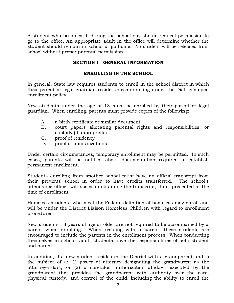A student who becomes ill during the school day should request permission to go to the office. An appropriate adult in the office will determine whether the student should remain in school or go home. No student will be released from school without proper parental permission.

#### SECTION I - GENERAL INFORMATION

#### ENROLLING IN THE SCHOOL

In general, State law requires students to enroll in the school district in which their parent or legal guardian reside unless enrolling under the District's open enrollment policy.

New students under the age of 18 must be enrolled by their parent or legal guardian. When enrolling, parents must provide copies of the following:

- A. a birth certificate or similar document
- B. court papers allocating parental rights and responsibilities, or custody (if appropriate)
- C. proof of residency
- D. proof of immunizations

Under certain circumstances, temporary enrollment may be permitted. In such cases, parents will be notified about documentation required to establish permanent enrollment.

Students enrolling from another school must have an official transcript from their previous school in order to have credits transferred. The school's attendance officer will assist in obtaining the transcript, if not presented at the time of enrollment.

Homeless students who meet the Federal definition of homeless may enroll and will be under the District Liaison Homeless Children with regard to enrollment procedures.

New students 18 years of age or older are not required to be accompanied by a parent when enrolling. When residing with a parent, these students are encouraged to include the parents in the enrollment process. When conducting themselves in school, adult students have the responsibilities of both student and parent.

In addition, if a new student resides in the District with a grandparent and is the subject of a: (1) power of attorney designating the grandparent as the attorney-if-fact; or (2) a caretaker authorization affidavit executed by the grandparent that provides the grandparent with authority over the care, physical custody, and control of the child, including the ability to enroll the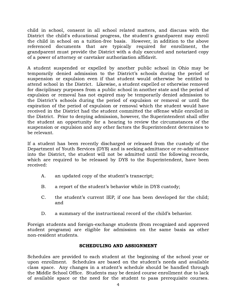child in school, consent in all school related matters, and discuss with the District the child's educational progress, the student's grandparent may enroll the child in school on a tuition-free basis. However, in addition to the above referenced documents that are typically required for enrollment, the grandparent must provide the District with a duly executed and notarized copy of a power of attorney or caretaker authorization affidavit.

A student suspended or expelled by another public school in Ohio may be temporarily denied admission to the District's schools during the period of suspension or expulsion even if that student would otherwise be entitled to attend school in the District. Likewise, a student expelled or otherwise removed for disciplinary purposes from a public school in another state and the period of expulsion or removal has not expired may be temporarily denied admission to the District's schools during the period of expulsion or removal or until the expiration of the period of expulsion or removal which the student would have received in the District had the student committed the offense while enrolled in the District. Prior to denying admission, however, the Superintendent shall offer the student an opportunity for a hearing to review the circumstances of the suspension or expulsion and any other factors the Superintendent determines to be relevant.

If a student has been recently discharged or released from the custody of the Department of Youth Services (DYS) and is seeking admittance or re-admittance into the District, the student will not be admitted until the following records, which are required to be released by DYS to the Superintendent, have been received:

- A. an updated copy of the student's transcript;
- B. a report of the student's behavior while in DYS custody;
- C. the student's current IEP, if one has been developed for the child; and
- D. a summary of the instructional record of the child's behavior.

Foreign students and foreign-exchange students (from recognized and approved student programs) are eligible for admission on the same basis as other non-resident students.

## SCHEDULING AND ASSIGNMENT

Schedules are provided to each student at the beginning of the school year or upon enrollment. Schedules are based on the student's needs and available class space. Any changes in a student's schedule should be handled through the Middle School Office. Students may be denied course enrollment due to lack of available space or the need for the student to pass prerequisite courses.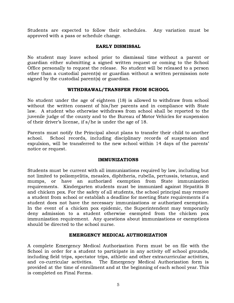Students are expected to follow their schedules. Any variation must be approved with a pass or schedule change.

## EARLY DISMISSAL

No student may leave school prior to dismissal time without a parent or guardian either submitting a signed written request or coming to the School Office personally to request the release. No student will be released to a person other than a custodial parent(s) or guardian without a written permission note signed by the custodial parent(s) or guardian.

## WITHDRAWAL/TRANSFER FROM SCHOOL

No student under the age of eighteen (18) is allowed to withdraw from school without the written consent of his/her parents and in compliance with State law. A student who otherwise withdraws from school shall be reported to the juvenile judge of the county and to the Bureau of Motor Vehicles for suspension of their driver's license, if s/he is under the age of 18.

Parents must notify the Principal about plans to transfer their child to another school. School records, including disciplinary records of suspension and expulsion, will be transferred to the new school within 14 days of the parents' notice or request.

## IMMUNIZATIONS

Students must be current with all immunizations required by law, including but not limited to poliomyelitis, measles, diphtheria, rubella, pertussis, tetanus, and mumps, or have an authorized exemption from State immunization requirements. Kindergarten students must be immunized against Hepatitis B and chicken pox. For the safety of all students, the school principal may remove a student from school or establish a deadline for meeting State requirements if a student does not have the necessary immunizations or authorized exemption. In the event of a chicken pox epidemic, the Superintendent may temporarily deny admission to a student otherwise exempted from the chicken pox immunization requirement. Any questions about immunizations or exemptions should be directed to the school nurse.

## EMERGENCY MEDICAL AUTHORIZATION

A complete Emergency Medical Authorization Form must be on file with the School in order for a student to participate in any activity off school grounds, including field trips, spectator trips, athletic and other extracurricular activities, and co-curricular activities. The Emergency Medical Authorization form is provided at the time of enrollment and at the beginning of each school year. This is completed on Final Forms.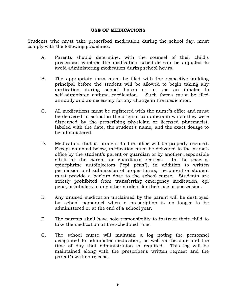#### USE OF MEDICATIONS

Students who must take prescribed medication during the school day, must comply with the following guidelines:

- A. Parents should determine, with the counsel of their child's prescriber, whether the medication schedule can be adjusted to avoid administering medication during school hours.
- B. The appropriate form must be filed with the respective building principal before the student will be allowed to begin taking any medication during school hours or to use an inhaler to self-administer asthma medication. Such forms must be filed annually and as necessary for any change in the medication.
- C. All medications must be registered with the nurse's office and must be delivered to school in the original containers in which they were dispensed by the prescribing physician or licensed pharmacist, labeled with the date, the student's name, and the exact dosage to be administered.
- D. Medication that is brought to the office will be properly secured. Except as noted below, medication must be delivered to the nurse's office by the student's parent or guardian or by another responsible adult at the parent or guardian's request. In the case of epinephrine autoinjectors ("epi pens"), in addition to written permission and submission of proper forms, the parent or student must provide a backup dose to the school nurse. Students are strictly prohibited from transferring emergency medication, epi pens, or inhalers to any other student for their use or possession.
- E. Any unused medication unclaimed by the parent will be destroyed by school personnel when a prescription is no longer to be administered or at the end of a school year.
- F. The parents shall have sole responsibility to instruct their child to take the medication at the scheduled time.
- G. The school nurse will maintain a log noting the personnel designated to administer medication, as well as the date and the time of day that administration is required. This log will be maintained along with the prescriber's written request and the parent's written release.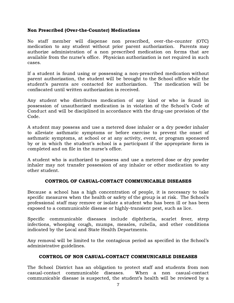## Non Prescribed (Over-the-Counter) Medications

No staff member will dispense non prescribed, over-the-counter (OTC) medication to any student without prior parent authorization. Parents may authorize administration of a non prescribed medication on forms that are available from the nurse's office. Physician authorization is not required in such cases.

If a student is found using or possessing a non-prescribed medication without parent authorization, the student will be brought to the School office while the student's parents are contacted for authorization. The medication will be confiscated until written authorization is received.

Any student who distributes medication of any kind or who is found in possession of unauthorized medication is in violation of the School's Code of Conduct and will be disciplined in accordance with the drug-use provision of the Code.

A student may possess and use a metered dose inhaler or a dry powder inhaler to alleviate asthmatic symptoms or before exercise to prevent the onset of asthmatic symptoms, at school or at any activity, event, or program sponsored by or in which the student's school is a participant if the appropriate form is completed and on file in the nurse's office.

A student who is authorized to possess and use a metered dose or dry powder inhaler may not transfer possession of any inhaler or other medication to any other student.

## CONTROL OF CASUAL-CONTACT COMMUNICABLE DISEASES

Because a school has a high concentration of people, it is necessary to take specific measures when the health or safety of the group is at risk. The School's professional staff may remove or isolate a student who has been ill or has been exposed to a communicable disease or highly-transient pest, such as lice.

Specific communicable diseases include diphtheria, scarlet fever, strep infections, whooping cough, mumps, measles, rubella, and other conditions indicated by the Local and State Health Departments.

Any removal will be limited to the contagious period as specified in the School's administrative guidelines.

## CONTROL OF NON CASUAL-CONTACT COMMUNICABLE DISEASES

The School District has an obligation to protect staff and students from non casual-contact communicable diseases. When a non casual-contact communicable disease is suspected, the student's health will be reviewed by a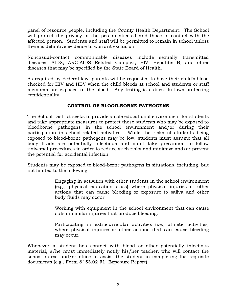panel of resource people, including the County Health Department. The School will protect the privacy of the person affected and those in contact with the affected person. Students and staff will be permitted to remain in school unless there is definitive evidence to warrant exclusion.

Noncasual-contact communicable diseases include sexually transmitted diseases, AIDS, ARC-AIDS Related Complex, HIV, Hepatitis B, and other diseases that may be specified by the State Board of Health.

As required by Federal law, parents will be requested to have their child's blood checked for HIV and HBV when the child bleeds at school and students or staff members are exposed to the blood. Any testing is subject to laws protecting confidentiality.

## CONTROL OF BLOOD-BORNE PATHOGENS

The School District seeks to provide a safe educational environment for students and take appropriate measures to protect those students who may be exposed to bloodborne pathogens in the school environment and/or during their participation in school-related activities. While the risks of students being exposed to blood-borne pathogens may be low, students must assume that all body fluids are potentially infectious and must take precaution to follow universal procedures in order to reduce such risks and minimize and/or prevent the potential for accidental infection.

Students may be exposed to blood-borne pathogens in situations, including, but not limited to the following:

> Engaging in activities with other students in the school environment (e.g., physical education class) where physical injuries or other actions that can cause bleeding or exposure to saliva and other body fluids may occur.

> Working with equipment in the school environment that can cause cuts or similar injuries that produce bleeding.

> Participating in extracurricular activities (i.e., athletic activities) where physical injuries or other actions that can cause bleeding may occur.

Whenever a student has contact with blood or other potentially infectious material, s/he must immediately notify his/her teacher, who will contact the school nurse and/or office to assist the student in completing the requisite documents (e.g., Form 8453.02 F1 Exposure Report).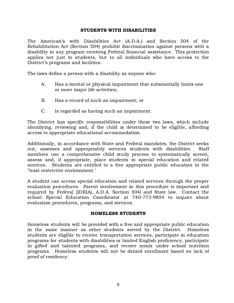#### STUDENTS WITH DISABILITIES

The American's with Disabilities Act (A.D.A.) and Section 504 of the Rehabilitation Act (Section 504) prohibit discrimination against persons with a disability in any program receiving Federal financial assistance. This protection applies not just to students, but to all individuals who have access to the District's programs and facilities.

The laws define a person with a disability as anyone who:

- A. Has a mental or physical impairment that substantially limits one or more major life activities;
- B. Has a record of such an impairment; or
- C. Is regarded as having such an impairment.

The District has specific responsibilities under these two laws, which include identifying, reviewing and, if the child is determined to be eligible, affording access to appropriate educational accommodation.

Additionally, in accordance with State and Federal mandates, the District seeks out, assesses and appropriately services students with disabilities. Staff members use a comprehensive child study process to systematically screen, assess and, if appropriate, place students in special education and related services. Students are entitled to a free appropriate public education in the "least restrictive environment."

A student can access special education and related services through the proper evaluation procedures. Parent involvement in this procedure is important and required by Federal (IDEIA), A.D.A. Section 504) and State law. Contact the school Special Education Coordinator at 740-773-9854 to inquire about evaluation procedures, programs, and services.

## HOMELESS STUDENTS

Homeless students will be provided with a free and appropriate public education in the same manner as other students served by the District. Homeless students are eligible to receive transportation services, participate in education programs for students with disabilities or limited English proficiency, participate in gifted and talented programs, and receive meals under school nutrition programs. Homeless students will not be denied enrollment based on lack of proof of residency.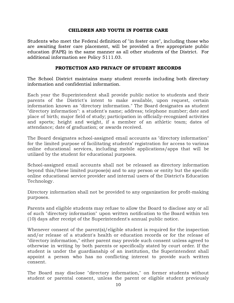#### CHILDREN AND YOUTH IN FOSTER CARE

Students who meet the Federal definition of "in foster care", including those who are awaiting foster care placement, will be provided a free appropriate public education (FAPE) in the same manner as all other students of the District. For additional information see Policy 5111.03.

## PROTECTION AND PRIVACY OF STUDENT RECORDS

The School District maintains many student records including both directory information and confidential information.

Each year the Superintendent shall provide public notice to students and their parents of the District's intent to make available, upon request, certain information known as "directory information." The Board designates as student "directory information": a student's name; address; telephone number; date and place of birth; major field of study; participation in officially-recognized activities and sports; height and weight, if a member of an athletic team; dates of attendance; date of graduation; or awards received.

The Board designates school-assigned email accounts as "directory information" for the limited purpose of facilitating students' registration for access to various online educational services, including mobile applications/apps that will be utilized by the student for educational purposes.

School-assigned email accounts shall not be released as directory information beyond this/these limited purpose(s) and to any person or entity but the specific online educational service provider and internal users of the District's Education Technology.

Directory information shall not be provided to any organization for profit-making purposes.

Parents and eligible students may refuse to allow the Board to disclose any or all of such "directory information" upon written notification to the Board within ten (10) days after receipt of the Superintendent's annual public notice.

Whenever consent of the parent(s)/eligible student is required for the inspection and/or release of a student's health or education records or for the release of "directory information," either parent may provide such consent unless agreed to otherwise in writing by both parents or specifically stated by court order. If the student is under the guardianship of an institution, the Superintendent shall appoint a person who has no conflicting interest to provide such written consent.

The Board may disclose "directory information," on former students without student or parental consent, unless the parent or eligible student previously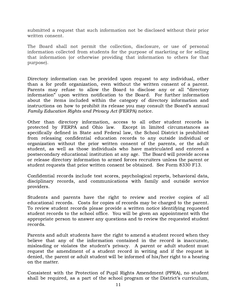submitted a request that such information not be disclosed without their prior written consent.

The Board shall not permit the collection, disclosure, or use of personal information collected from students for the purpose of marketing or for selling that information (or otherwise providing that information to others for that purpose).

Directory information can be provided upon request to any individual, other than a for profit organization, even without the written consent of a parent. Parents may refuse to allow the Board to disclose any or all "directory information" upon written notification to the Board. For further information about the items included within the category of directory information and instructions on how to prohibit its release you may consult the Board's annual Family Education Rights and Privacy Act (FERPA) notice.

Other than directory information, access to all other student records is protected by FERPA and Ohio law. Except in limited circumstances as specifically defined in State and Federal law, the School District is prohibited from releasing confidential education records to any outside individual or organization without the prior written consent of the parents, or the adult student, as well as those individuals who have matriculated and entered a postsecondary educational institution at any age. The Board will provide access or release directory information to armed forces recruiters unless the parent or student requests that prior written consent be obtained. See Form 8330 F13.

Confidential records include test scores, psychological reports, behavioral data, disciplinary records, and communications with family and outside service providers.

Students and parents have the right to review and receive copies of all educational records. Costs for copies of records may be charged to the parent. To review student records please provide a written notice identifying requested student records to the school office. You will be given an appointment with the appropriate person to answer any questions and to review the requested student records.

Parents and adult students have the right to amend a student record when they believe that any of the information contained in the record is inaccurate, misleading or violates the student's privacy. A parent or adult student must request the amendment of a student record in writing and if the request is denied, the parent or adult student will be informed of his/her right to a hearing on the matter.

Consistent with the Protection of Pupil Rights Amendment (PPRA), no student shall be required, as a part of the school program or the District's curriculum,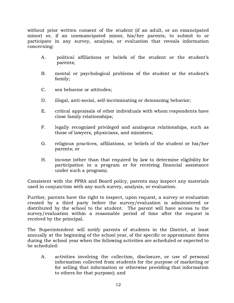without prior written consent of the student (if an adult, or an emancipated minor) or, if an unemancipated minor, his/her parents, to submit to or participate in any survey, analysis, or evaluation that reveals information concerning:

- A. political affiliations or beliefs of the student or the student's parents;
- B. mental or psychological problems of the student or the student's family;
- C. sex behavior or attitudes;
- D. illegal, anti-social, self-incriminating or demeaning behavior;
- E. critical appraisals of other individuals with whom respondents have close family relationships;
- F. legally recognized privileged and analogous relationships, such as those of lawyers, physicians, and ministers;
- G. religious practices, affiliations, or beliefs of the student or his/her parents; or
- H. income (other than that required by law to determine eligibility for participation in a program or for receiving financial assistance under such a program).

Consistent with the PPRA and Board policy, parents may inspect any materials used in conjunction with any such survey, analysis, or evaluation.

Further, parents have the right to inspect, upon request, a survey or evaluation created by a third party before the survey/evaluation is administered or distributed by the school to the student. The parent will have access to the survey/evaluation within a reasonable period of time after the request is received by the principal.

The Superintendent will notify parents of students in the District, at least annually at the beginning of the school year, of the specific or approximate dates during the school year when the following activities are scheduled or expected to be scheduled:

A. activities involving the collection, disclosure, or use of personal information collected from students for the purpose of marketing or for selling that information or otherwise providing that information to others for that purpose); and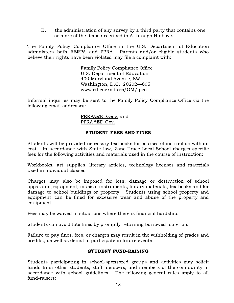B. the administration of any survey by a third party that contains one or more of the items described in A through H above.

The Family Policy Compliance Office in the U.S. Department of Education administers both FERPA and PPRA. Parents and/or eligible students who believe their rights have been violated may file a complaint with:

> Family Policy Compliance Office U.S. Department of Education 400 Maryland Avenue, SW Washington, D.C. 20202-4605 www.ed.gov/offices/OM/fpco

Informal inquiries may be sent to the Family Policy Compliance Office via the following email addresses:

> FERPA@ED.Gov; and [PPRA@ED.Gov.](mailto:PPRA@ED.Gov)

## STUDENT FEES AND FINES

Students will be provided necessary textbooks for courses of instruction without cost. In accordance with State law, Zane Trace Local School charges specific fees for the following activities and materials used in the course of instruction:

Workbooks, art supplies, literary articles, technology licenses and materials used in individual classes.

Charges may also be imposed for loss, damage or destruction of school apparatus, equipment, musical instruments, library materials, textbooks and for damage to school buildings or property. Students using school property and equipment can be fined for excessive wear and abuse of the property and equipment.

Fees may be waived in situations where there is financial hardship.

Students can avoid late fines by promptly returning borrowed materials.

Failure to pay fines, fees, or charges may result in the withholding of grades and credits., as well as denial to participate in future events.

## STUDENT FUND-RAISING

Students participating in school-sponsored groups and activities may solicit funds from other students, staff members, and members of the community in accordance with school guidelines. The following general rules apply to all fund-raisers: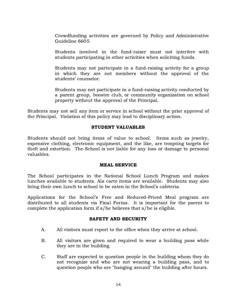Crowdfunding activities are governed by Policy and Administrative Guideline 6605.

Students involved in the fund-raiser must not interfere with students participating in other activities when soliciting funds.

Students may not participate in a fund-raising activity for a group in which they are not members without the approval of the students' counselor.

Students may not participate in a fund-raising activity conducted by a parent group, booster club, or community organization on school property without the approval of the Principal.

Students may not sell any item or service in school without the prior approval of the Principal. Violation of this policy may lead to disciplinary action.

## STUDENT VALUABLES

Students should not bring items of value to school. Items such as jewelry, expensive clothing, electronic equipment, and the like, are tempting targets for theft and extortion. The School is not liable for any loss or damage to personal valuables.

#### MEAL SERVICE

The School participates in the National School Lunch Program and makes lunches available to students. Ala carte items are available. Students may also bring their own lunch to school to be eaten in the School's cafeteria.

Applications for the School's Free and Reduced-Priced Meal program are distributed to all students via Final Forms. It is important for the parent to complete the application form if s/he believes that s/he is eligible.

## SAFETY AND SECURITY

- A. All visitors must report to the office when they arrive at school.
- B. All visitors are given and required to wear a building pass while they are in the building.
- C. Staff are expected to question people in the building whom they do not recognize and who are not wearing a building pass, and to question people who are "hanging around" the building after hours.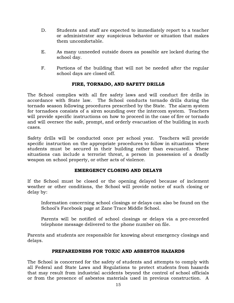- D. Students and staff are expected to immediately report to a teacher or administrator any suspicious behavior or situation that makes them uncomfortable.
- E. As many unneeded outside doors as possible are locked during the school day.
- F. Portions of the building that will not be needed after the regular school days are closed off.

# FIRE, TORNADO, AND SAFETY DRILLS

The School complies with all fire safety laws and will conduct fire drills in accordance with State law. The School conducts tornado drills during the tornado season following procedures prescribed by the State. The alarm system for tornadoes consists of a siren sounding over the intercom system. Teachers will provide specific instructions on how to proceed in the case of fire or tornado and will oversee the safe, prompt, and orderly evacuation of the building in such cases.

Safety drills will be conducted once per school year. Teachers will provide specific instruction on the appropriate procedures to follow in situations where students must be secured in their building rather than evacuated. These situations can include a terrorist threat, a person in possession of a deadly weapon on school property, or other acts of violence.

## EMERGENCY CLOSING AND DELAYS

If the School must be closed or the opening delayed because of inclement weather or other conditions, the School will provide notice of such closing or delay by:

Information concerning school closings or delays can also be found on the School's Facebook page at Zane Trace Middle School.

Parents will be notified of school closings or delays via a pre-recorded telephone message delivered to the phone number on file.

Parents and students are responsible for knowing about emergency closings and delays.

## PREPAREDNESS FOR TOXIC AND ASBESTOS HAZARDS

The School is concerned for the safety of students and attempts to comply with all Federal and State Laws and Regulations to protect students from hazards that may result from industrial accidents beyond the control of school officials or from the presence of asbestos materials used in previous construction. A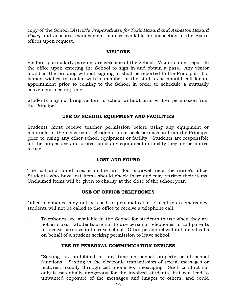copy of the School District's Preparedness for Toxic Hazard and Asbestos Hazard Policy and asbestos management plan is available for inspection at the Board offices upon request.

#### VISITORS

Visitors, particularly parents, are welcome at the School. Visitors must report to the office upon entering the School to sign in and obtain a pass. Any visitor found in the building without signing in shall be reported to the Principal. If a person wishes to confer with a member of the staff, s/he should call for an appointment prior to coming to the School in order to schedule a mutually convenient meeting time.

Students may not bring visitors to school without prior written permission from the Principal.

#### USE OF SCHOOL EQUIPMENT AND FACILITIES

Students must receive teacher permission before using any equipment or materials in the classroom. Students must seek permission from the Principal prior to using any other school equipment or facility. Students are responsible for the proper use and protection of any equipment or facility they are permitted to use.

## LOST AND FOUND

The lost and found area is in the first floor stairwell near the nurse's office. Students who have lost items should check there and may retrieve their items. Unclaimed items will be given to charity at the close of the school year.

#### USE OF OFFICE TELEPHONES

Office telephones may not be used for personal calls. Except in an emergency, students will not be called to the office to receive a telephone call.

[ ] Telephones are available in the School for students to use when they are not in class. Students are not to use personal telephones to call parents to receive permission to leave school. Office personnel will initiate all calls on behalf of a student seeking permission to leave school.

#### USE OF PERSONAL COMMUNICATION DEVICES

[ ] "Sexting" is prohibited at any time on school property or at school functions. Sexting is the electronic transmission of sexual messages or pictures, usually through cell phone text messaging. Such conduct not only is potentially dangerous for the involved students, but can lead to unwanted exposure of the messages and images to others, and could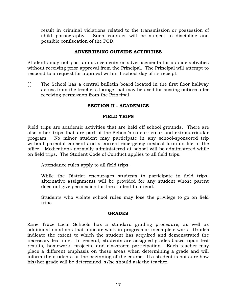result in criminal violations related to the transmission or possession of child pornography. Such conduct will be subject to discipline and possible confiscation of the PCD.

## ADVERTISING OUTSIDE ACTIVITIES

Students may not post announcements or advertisements for outside activities without receiving prior approval from the Principal. The Principal will attempt to respond to a request for approval within 1 school day of its receipt.

[ ] The School has a central bulletin board located in the first floor hallway across from the teacher's lounge that may be used for posting notices after receiving permission from the Principal.

## SECTION II - ACADEMICS

## FIELD TRIPS

Field trips are academic activities that are held off school grounds. There are also other trips that are part of the School's co-curricular and extracurricular program. No minor student may participate in any school-sponsored trip without parental consent and a current emergency medical form on file in the office. Medications normally administered at school will be administered while on field trips. The Student Code of Conduct applies to all field trips.

Attendance rules apply to all field trips.

While the District encourages students to participate in field trips, alternative assignments will be provided for any student whose parent does not give permission for the student to attend.

Students who violate school rules may lose the privilege to go on field trips.

## GRADES

Zane Trace Local Schools has a standard grading procedure, as well as additional notations that indicate work in progress or incomplete work. Grades indicate the extent to which the student has acquired and demonstrated the necessary learning. In general, students are assigned grades based upon test results, homework, projects, and classroom participation. Each teacher may place a different emphasis on these areas when determining a grade and will inform the students at the beginning of the course. If a student is not sure how his/her grade will be determined, s/he should ask the teacher.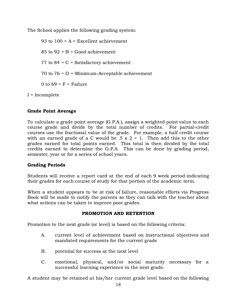The School applies the following grading system:

93 to  $100 = A = Excellent$  achievement 85 to  $92 = B = Good$  achievement 77 to  $84$  = C = Satisfactory achievement 70 to 76 = D = Minimum-Acceptable achievement 0 to  $69 = F =$  Failure

I = Incomplete

## Grade Point Average

To calculate a grade point average (G.P.A.), assign a weighted point value to each course grade and divide by the total number of credits. For partial-credit courses use the fractional value of the grade. For example, a half credit course with an earned grade of a C would be  $.5 \times 2 = 1$ . Then add this to the other grades earned for total points earned. This total is then divided by the total credits earned to determine the G.P.A. This can be done by grading period, semester, year or for a series of school years.

## Grading Periods

Students will receive a report card at the end of each 9 week period indicating their grades for each course of study for that portion of the academic term.

When a student appears to be at risk of failure, reasonable efforts via Progress Book will be made to notify the parents so they can talk with the teacher about what actions can be taken to improve poor grades.

## PROMOTION AND RETENTION

Promotion to the next grade (or level) is based on the following criteria:

- A. current level of achievement based on instructional objectives and mandated requirements for the current grade
- B. potential for success at the next level
- C. emotional, physical, and/or social maturity necessary for a successful learning experience in the next grade.

A student may be retained at his/her current grade level based on the following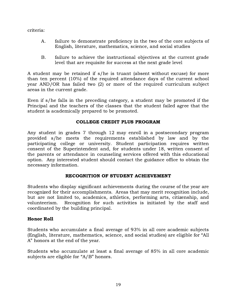criteria:

- A. failure to demonstrate proficiency in the two of the core subjects of English, literature, mathematics, science, and social studies
- B. failure to achieve the instructional objectives at the current grade level that are requisite for success at the next grade level

A student may be retained if s/he is truant (absent without excuse) for more than ten percent (10%) of the required attendance days of the current school year AND/OR has failed two (2) or more of the required curriculum subject areas in the current grade.

Even if s/he falls in the preceding category, a student may be promoted if the Principal and the teachers of the classes that the student failed agree that the student is academically prepared to be promoted.

# COLLEGE CREDIT PLUS PROGRAM

Any student in grades 7 through 12 may enroll in a postsecondary program provided s/he meets the requirements established by law and by the participating college or university. Student participation requires written consent of the Superintendent and, for students under 18, written consent of the parents or attendance in counseling services offered with this educational option. Any interested student should contact the guidance office to obtain the necessary information.

# RECOGNITION OF STUDENT ACHIEVEMENT

Students who display significant achievements during the course of the year are recognized for their accomplishments. Areas that may merit recognition include, but are not limited to, academics, athletics, performing arts, citizenship, and volunteerism. Recognition for such activities is initiated by the staff and coordinated by the building principal.

## Honor Roll

Students who accumulate a final average of 93% in all core academic subjects (English, literature, mathematics, science, and social studies) are eligible for "All A" honors at the end of the year.

Students who accumulate at least a final average of 85% in all core academic subjects are eligible for "A/B" honors.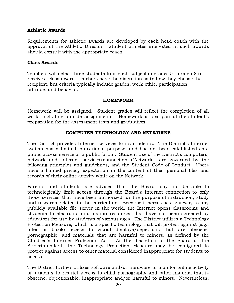## Athletic Awards

Requirements for athletic awards are developed by each head coach with the approval of the Athletic Director. Student athletes interested in such awards should consult with the appropriate coach.

## Class Awards

Teachers will select three students from each subject in grades 5 through 8 to receive a class award. Teachers have the discretion as to how they choose the recipient, but criteria typically include grades, work ethic, participation, attitude, and behavior.

## HOMEWORK

Homework will be assigned. Student grades will reflect the completion of all work, including outside assignments. Homework is also part of the student's preparation for the assessment tests and graduation.

## COMPUTER TECHNOLOGY AND NETWORKS

The District provides Internet services to its students. The District's Internet system has a limited educational purpose, and has not been established as a public access service or a public forum. Student use of the District's computers, network and Internet services/connection ("Network") are governed by the following principles and guidelines, and the Student Code of Conduct. Users have a limited privacy expectation in the content of their personal files and records of their online activity while on the Network.

Parents and students are advised that the Board may not be able to technologically limit access through the Board's Internet connection to only those services that have been authorized for the purpose of instruction, study and research related to the curriculum. Because it serves as a gateway to any publicly available file server in the world, the Internet opens classrooms and students to electronic information resources that have not been screened by educators for use by students of various ages. The District utilizes a Technology Protection Measure, which is a specific technology that will protect against (e.g., filter or block) access to visual displays/depictions that are obscene, pornographic, and materials that are harmful to minors, as defined by the Children's Internet Protection Act. At the discretion of the Board or the Superintendent, the Technology Protection Measure may be configured to protect against access to other material considered inappropriate for students to access.

The District further utilizes software and/or hardware to monitor online activity of students to restrict access to child pornography and other material that is obscene, objectionable, inappropriate and/or harmful to minors. Nevertheless,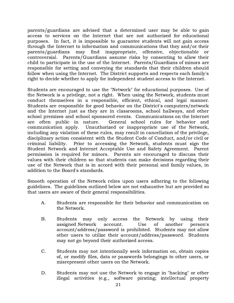parents/guardians are advised that a determined user may be able to gain access to services on the Internet that are not authorized for educational purposes. In fact, it is impossible to guarantee students will not gain access through the Internet to information and communications that they and/or their parents/guardians may find inappropriate, offensive, objectionable or controversial. Parents/Guardians assume risks by consenting to allow their child to participate in the use of the Internet. Parents/Guardians of minors are responsible for setting and conveying the standards that their children should follow when using the Internet. The District supports and respects each family's right to decide whether to apply for independent student access to the Internet.

Students are encouraged to use the "Network" for educational purposes. Use of the Network is a privilege, not a right. When using the Network, students must conduct themselves in a responsible, efficient, ethical, and legal manner. Students are responsible for good behavior on the District's computers/network and the Internet just as they are in classrooms, school hallways, and other school premises and school sponsored events. Communications on the Internet are often public in nature. General school rules for behavior and communication apply. Unauthorized or inappropriate use of the Network, including any violation of these rules, may result in cancellation of the privilege, disciplinary action consistent with the Student Code of Conduct, and/or civil or criminal liability. Prior to accessing the Network, students must sign the Student Network and Internet Acceptable Use and Safety Agreement. Parent permission is required for minors. Parents are encouraged to discuss their values with their children so that students can make decisions regarding their use of the Network that is in accord with their personal and family values, in addition to the Board's standards.

Smooth operation of the Network relies upon users adhering to the following guidelines. The guidelines outlined below are not exhaustive but are provided so that users are aware of their general responsibilities.

- A. Students are responsible for their behavior and communication on the Network.
- B. Students may only access the Network by using their assigned Network account. Use of another person's account/address/password is prohibited. Students may not allow other users to utilize their account/address/password. Students may not go beyond their authorized access.
- C. Students may not intentionally seek information on, obtain copies of, or modify files, data or passwords belongings to other users, or misrepresent other users on the Network.
- D. Students may not use the Network to engage in "hacking" or other illegal activities (e.g., software pirating; intellectual property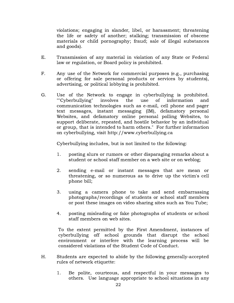violations; engaging in slander, libel, or harassment; threatening the life or safety of another; stalking; transmission of obscene materials or child pornography; fraud; sale of illegal substances and goods).

- E. Transmission of any material in violation of any State or Federal law or regulation, or Board policy is prohibited.
- F. Any use of the Network for commercial purposes (e.g., purchasing or offering for sale personal products or services by students), advertising, or political lobbying is prohibited.
- G. Use of the Network to engage in cyberbullying is prohibited. ""Cyberbullying" involves the use of information and communication technologies such as e-mail, cell phone and pager text messages, instant messaging (IM), defamatory personal Websites, and defamatory online personal polling Websites, to support deliberate, repeated, and hostile behavior by an individual or group, that is intended to harm others." For further information on cyberbullying, visit http://www.cyberbullying.ca

Cyberbullying includes, but is not limited to the following:

- 1. posting slurs or rumors or other disparaging remarks about a student or school staff member on a web site or on weblog;
- 2. sending e-mail or instant messages that are mean or threatening, or so numerous as to drive up the victim's cell phone bill;
- 3. using a camera phone to take and send embarrassing photographs/recordings of students or school staff members or post these images on video sharing sites such as You Tube;
- 4. posting misleading or fake photographs of students or school staff members on web sites.

To the extent permitted by the First Amendment, instances of cyberbullying off school grounds that disrupt the school environment or interfere with the learning process will be considered violations of the Student Code of Conduct.

- H. Students are expected to abide by the following generally-accepted rules of network etiquette:
	- 1. Be polite, courteous, and respectful in your messages to others. Use language appropriate to school situations in any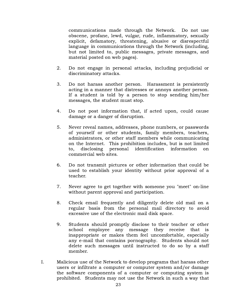communications made through the Network. Do not use obscene, profane, lewd, vulgar, rude, inflammatory, sexually explicit, defamatory, threatening, abusive or disrespectful language in communications through the Network (including, but not limited to, public messages, private messages, and material posted on web pages).

- 2. Do not engage in personal attacks, including prejudicial or discriminatory attacks.
- 3. Do not harass another person. Harassment is persistently acting in a manner that distresses or annoys another person. If a student is told by a person to stop sending him/her messages, the student must stop.
- 4. Do not post information that, if acted upon, could cause damage or a danger of disruption.
- 5. Never reveal names, addresses, phone numbers, or passwords of yourself or other students, family members, teachers, administrators, or other staff members while communicating on the Internet. This prohibition includes, but is not limited to, disclosing personal identification information on commercial web sites.
- 6. Do not transmit pictures or other information that could be used to establish your identity without prior approval of a teacher.
- 7. Never agree to get together with someone you "meet" on-line without parent approval and participation.
- 8. Check email frequently and diligently delete old mail on a regular basis from the personal mail directory to avoid excessive use of the electronic mail disk space.
- 9. Students should promptly disclose to their teacher or other school employee any message they receive that is inappropriate or makes them feel uncomfortable, especially any e-mail that contains pornography. Students should not delete such messages until instructed to do so by a staff member.
- I. Malicious use of the Network to develop programs that harass other users or infiltrate a computer or computer system and/or damage the software components of a computer or computing system is prohibited. Students may not use the Network in such a way that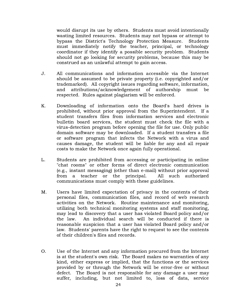would disrupt its use by others. Students must avoid intentionally wasting limited resources. Students may not bypass or attempt to bypass the District's Technology Protection Measure. Students must immediately notify the teacher, principal, or technology coordinator if they identify a possible security problem. Students should not go looking for security problems, because this may be construed as an unlawful attempt to gain access.

- J. All communications and information accessible via the Internet should be assumed to be private property (i.e. copyrighted and/or trademarked). All copyright issues regarding software, information, and attributions/acknowledgement of authorship must be respected. Rules against plagiarism will be enforced.
- K. Downloading of information onto the Board's hard drives is prohibited, without prior approval from the Superintendent. If a student transfers files from information services and electronic bulletin board services, the student must check the file with a virus-detection program before opening the file for use. Only public domain software may be downloaded. If a student transfers a file or software program that infects the Network with a virus and causes damage, the student will be liable for any and all repair costs to make the Network once again fully operational.
- L. Students are prohibited from accessing or participating in online "chat rooms" or other forms of direct electronic communication (e.g., instant messaging) (other than e-mail) without prior approval from a teacher or the principal. All such authorized communications must comply with these guidelines.
- M. Users have limited expectation of privacy in the contents of their personal files, communication files, and record of web research activities on the Network. Routine maintenance and monitoring, utilizing both technical monitoring systems and staff monitoring, may lead to discovery that a user has violated Board policy and/or the law. An individual search will be conducted if there is reasonable suspicion that a user has violated Board policy and/or law. Students' parents have the right to request to see the contents of their children's files and records.
- O. Use of the Internet and any information procured from the Internet is at the student's own risk. The Board makes no warranties of any kind, either express or implied, that the functions or the services provided by or through the Network will be error-free or without defect. The Board is not responsible for any damage a user may suffer, including, but not limited to, loss of data, service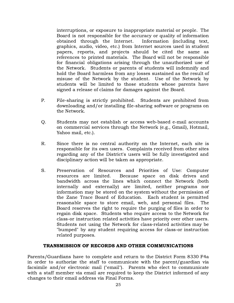interruptions, or exposure to inappropriate material or people. The Board is not responsible for the accuracy or quality of information obtained through the Internet. Information (including text, graphics, audio, video, etc.) from Internet sources used in student papers, reports, and projects should be cited the same as references to printed materials. The Board will not be responsible for financial obligations arising through the unauthorized use of the Network. Students or parents of students will indemnify and hold the Board harmless from any losses sustained as the result of misuse of the Network by the student. Use of the Network by students will be limited to those students whose parents have signed a release of claims for damages against the Board.

- P. File-sharing is strictly prohibited. Students are prohibited from downloading and/or installing file-sharing software or programs on the Network.
- Q. Students may not establish or access web-based e-mail accounts on commercial services through the Network (e.g., Gmail), Hotmail, Yahoo mail, etc.).
- R. Since there is no central authority on the Internet, each site is responsible for its own users. Complaints received from other sites regarding any of the District's users will be fully investigated and disciplinary action will be taken as appropriate.
- S. Preservation of Resources and Priorities of Use: Computer resources are limited. Because space on disk drives and bandwidth across the lines which connect the Network (both internally and externally) are limited, neither programs nor information may be stored on the system without the permission of the Zane Trace Board of Education. Each student is permitted reasonable space to store email, web, and personal files. The Board reserves the right to require the purging of files in order to regain disk space. Students who require access to the Network for class-or instruction related activities have priority over other users. Students not using the Network for class-related activities may be "bumped" by any student requiring access for class-or instruction related purposes.

## TRANSMISSION OF RECORDS AND OTHER COMMUNICATIONS

Parents/Guardians have to complete and return to the District Form 8330 F4a in order to authorize the staff to communicate with the parent/guardian via facsimile and/or electronic mail ("email"). Parents who elect to communicate with a staff member via email are required to keep the District informed of any changes to their email address via Final Forms.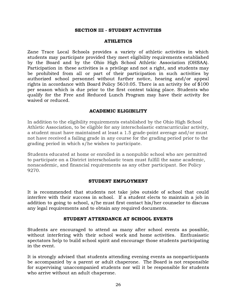#### SECTION III - STUDENT ACTIVITIES

#### ATHLETICS

Zane Trace Local Schools provides a variety of athletic activities in which students may participate provided they meet eligibility requirements established by the Board and by the Ohio High School Athletic Association (OHSAA). Participation in these activities is a privilege and not a right, and students may be prohibited from all or part of their participation in such activities by authorized school personnel without further notice, hearing and/or appeal rights in accordance with Board Policy 5610.05. There is an activity fee of \$100 per season which is due prior to the first contest taking place. Students who qualify for the Free and Reduced Lunch Program may have their activity fee waived or reduced.

#### ACADEMIC ELIGIBILITY

In addition to the eligibility requirements established by the Ohio High School Athletic Association, to be eligible for any interscholastic extracurricular activity, a student must have maintained at least a 1.5 grade-point average and/or must not have received a failing grade in any course for the grading period prior to the grading period in which s/he wishes to participate.

Students educated at home or enrolled in a nonpublic school who are permitted to participate on a District interscholastic team must fulfill the same academic, nonacademic, and financial requirements as any other participant. See Policy 9270.

#### STUDENT EMPLOYMENT

It is recommended that students not take jobs outside of school that could interfere with their success in school. If a student elects to maintain a job in addition to going to school, s/he must first contact his/her counselor to discuss any legal requirements and to obtain any required documents.

#### STUDENT ATTENDANCE AT SCHOOL EVENTS

Students are encouraged to attend as many after school events as possible, without interfering with their school work and home activities. Enthusiastic spectators help to build school spirit and encourage those students participating in the event.

It is strongly advised that students attending evening events as nonparticipants be accompanied by a parent or adult chaperone. The Board is not responsible for supervising unaccompanied students nor will it be responsible for students who arrive without an adult chaperone.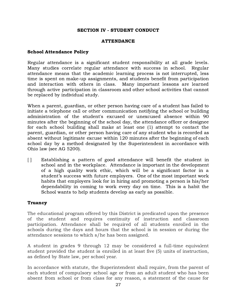## SECTION IV - STUDENT CONDUCT

#### ATTENDANCE

#### School Attendance Policy

Regular attendance is a significant student responsibility at all grade levels. Many studies correlate regular attendance with success in school. Regular attendance means that the academic learning process is not interrupted, less time is spent on make-up assignments, and students benefit from participation and interaction with others in class. Many important lessons are learned through active participation in classroom and other school activities that cannot be replaced by individual study.

When a parent, guardian, or other person having care of a student has failed to initiate a telephone call or other communication notifying the school or building administration of the student's excused or unexcused absence within 90 minutes after the beginning of the school day, the attendance officer or designee for each school building shall make at least one (1) attempt to contact the parent, guardian, or other person having care of any student who is recorded as absent without legitimate excuse within 120 minutes after the beginning of each school day by a method designated by the Superintendent in accordance with Ohio law (see AG 5200).

[ ] Establishing a pattern of good attendance will benefit the student in school and in the workplace. Attendance is important in the development of a high quality work ethic, which will be a significant factor in a student's success with future employers. One of the most important work habits that employers look for in hiring and promoting a person is his/her dependability in coming to work every day on time. This is a habit the School wants to help students develop as early as possible.

## Truancy

The educational program offered by this District is predicated upon the presence of the student and requires continuity of instruction and classroom participation. Attendance shall be required of all students enrolled in the schools during the days and hours that the school is in session or during the attendance sessions to which s/he has been assigned.

A student in grades 9 through 12 may be considered a full-time equivalent student provided the student is enrolled in at least five (5) units of instruction, as defined by State law, per school year.

In accordance with statute, the Superintendent shall require, from the parent of each student of compulsory school age or from an adult student who has been absent from school or from class for any reason, a statement of the cause for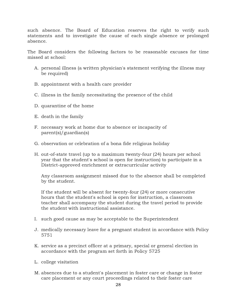such absence. The Board of Education reserves the right to verify such statements and to investigate the cause of each single absence or prolonged absence.

The Board considers the following factors to be reasonable excuses for time missed at school:

- A. personal illness (a written physician's statement verifying the illness may be required)
- B. appointment with a health care provider
- C. illness in the family necessitating the presence of the child
- D. quarantine of the home
- E. death in the family
- F. necessary work at home due to absence or incapacity of parent(s)/guardian(s)
- G. observation or celebration of a bona fide religious holiday
- H. out-of-state travel (up to a maximum twenty-four (24) hours per school year that the student's school is open for instruction) to participate in a District-approved enrichment or extracurricular activity

Any classroom assignment missed due to the absence shall be completed by the student.

If the student will be absent for twenty-four (24) or more consecutive hours that the student's school is open for instruction, a classroom teacher shall accompany the student during the travel period to provide the student with instructional assistance.

- I. such good cause as may be acceptable to the Superintendent
- J. medically necessary leave for a pregnant student in accordance with Policy 5751
- K. service as a precinct officer at a primary, special or general election in accordance with the program set forth in Policy 5725
- L. college visitation
- M. absences due to a student's placement in foster care or change in foster care placement or any court proceedings related to their foster care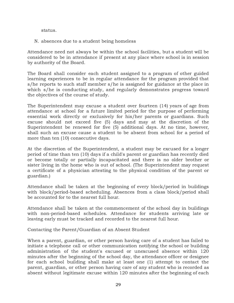status.

N. absences due to a student being homeless

Attendance need not always be within the school facilities, but a student will be considered to be in attendance if present at any place where school is in session by authority of the Board.

The Board shall consider each student assigned to a program of other guided learning experiences to be in regular attendance for the program provided that s/he reports to such staff member s/he is assigned for guidance at the place in which s/he is conducting study, and regularly demonstrates progress toward the objectives of the course of study.

The Superintendent may excuse a student over fourteen (14) years of age from attendance at school for a future limited period for the purpose of performing essential work directly or exclusively for his/her parents or guardians. Such excuse should not exceed five (5) days and may at the discretion of the Superintendent be renewed for five (5) additional days. At no time, however, shall such an excuse cause a student to be absent from school for a period of more than ten (10) consecutive days.

At the discretion of the Superintendent, a student may be excused for a longer period of time than ten (10) days if a child's parent or guardian has recently died or become totally or partially incapacitated and there is no older brother or sister living in the home who is out of school. (The Superintendent may request a certificate of a physician attesting to the physical condition of the parent or guardian.)

Attendance shall be taken at the beginning of every block/period in buildings with block/period-based scheduling. Absences from a class block/period shall be accounted for to the nearest full hour.

Attendance shall be taken at the commencement of the school day in buildings with non-period-based schedules. Attendance for students arriving late or leaving early must be tracked and recorded to the nearest full hour.

Contacting the Parent/Guardian of an Absent Student

When a parent, guardian, or other person having care of a student has failed to initiate a telephone call or other communication notifying the school or building administration of the student's excused or unexcused absence within 120 minutes after the beginning of the school day, the attendance officer or designee for each school building shall make at least one (1) attempt to contact the parent, guardian, or other person having care of any student who is recorded as absent without legitimate excuse within 120 minutes after the beginning of each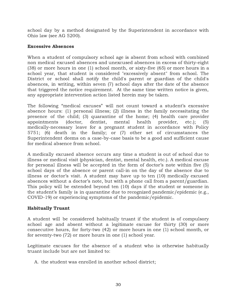school day by a method designated by the Superintendent in accordance with Ohio law (see AG 5200).

## Excessive Absences

When a student of compulsory school age is absent from school with combined non medical excused absences and unexcused absences in excess of thirty-eight (38) or more hours in one (1) school month, or sixty-five (65) or more hours in a school year, that student is considered "excessively absent" from school. The District or school shall notify the child's parent or guardian of the child's absences, in writing, within seven (7) school days after the date of the absence that triggered the notice requirement. At the same time written notice is given, any appropriate intervention action listed herein may be taken.

The following "medical excuses" will not count toward a student's excessive absence hours: (1) personal illness; (2) illness in the family necessitating the presence of the child; (3) quarantine of the home; (4) health care provider appointments (doctor, dentist, mental health provider, etc.); (5) medically-necessary leave for a pregnant student in accordance with Policy 5751; (6) death in the family; or (7) other set of circumstances the Superintendent deems on a case-by-case basis to be a good and sufficient cause for medical absence from school.

A medically excused absence occurs any time a student is out of school due to illness or medical visit (physician, dentist, mental health, etc.). A medical excuse for personal illness will be accepted in the form of doctor's note within five (5) school days of the absence or parent call-in on the day of the absence due to illness or doctor's visit. A student may have up to ten (10) medically excused absences without a doctor's note, but with a phone call from a parent/guardian. This policy will be extended beyond ten (10) days if the student or someone in the student's family is in quarantine due to recognized pandemic/epidemic (e.g., COVID-19) or experiencing symptoms of the pandemic/epidemic.

# Habitually Truant

A student will be considered habitually truant if the student is of compulsory school age and absent without a legitimate excuse for thirty (30) or more consecutive hours, for forty-two (42) or more hours in one (1) school month, or for seventy-two (72) or more hours in one (1) school year.

Legitimate excuses for the absence of a student who is otherwise habitually truant include but are not limited to:

A. the student was enrolled in another school district;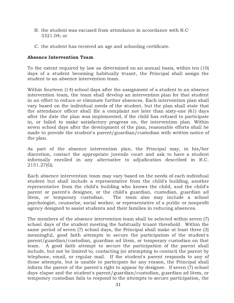- B. the student was excused from attendance in accordance with R.C 3321.04; or
- C. the student has received an age and schooling certificate.

## Absence Intervention Team

To the extent required by law as determined on an annual basis, within ten (10) days of a student becoming habitually truant, the Principal shall assign the student to an absence intervention team.

Within fourteen (14) school days after the assignment of a student to an absence intervention team, the team shall develop an intervention plan for that student in an effort to reduce or eliminate further absences. Each intervention plan shall vary based on the individual needs of the student, but the plan shall state that the attendance officer shall file a complaint not later than sixty-one (61) days after the date the plan was implemented, if the child has refused to participate in, or failed to make satisfactory progress on, the intervention plan. Within seven school days after the development of the plan, reasonable efforts shall be made to provide the student's parent/guardian/custodian with written notice of the plan.

As part of the absence intervention plan, the Principal may, in his/her discretion, contact the appropriate juvenile court and ask to have a student informally enrolled in any alternative to adjudication described in R.C. 2151.27(G).

Each absence intervention team may vary based on the needs of each individual student but shall include a representative from the child's building, another representative from the child's building who knows the child, and the child's parent or parent's designee, or the child's guardian, custodian, guardian ad litem, or temporary custodian. The team also may include a school psychologist, counselor, social worker, or representative of a public or nonprofit agency designed to assist students and their families in reducing absences.

The members of the absence intervention team shall be selected within seven (7) school days of the student meeting the habitually truant threshold. Within the same period of seven (7) school days, the Principal shall make at least three (3) meaningful, good faith attempts to secure the participation of the student's parent/guardian/custodian, guardian ad litem, or temporary custodian on that team. A good faith attempt to secure the participation of the parent shall include, but not be limited to, contacting (or attempting to contact) the parent by telephone, email, or regular mail. If the student's parent responds to any of those attempts, but is unable to participate for any reason, the Principal shall inform the parent of the parent's right to appear by designee. If seven (7) school days elapse and the student's parent/guardian/custodian, guardian ad litem, or temporary custodian fails to respond to the attempts to secure participation, the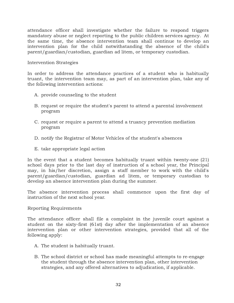attendance officer shall investigate whether the failure to respond triggers mandatory abuse or neglect reporting to the public children services agency. At the same time, the absence intervention team shall continue to develop an intervention plan for the child notwithstanding the absence of the child's parent/guardian/custodian, guardian ad litem, or temporary custodian.

## Intervention Strategies

In order to address the attendance practices of a student who is habitually truant, the intervention team may, as part of an intervention plan, take any of the following intervention actions:

- A. provide counseling to the student
- B. request or require the student's parent to attend a parental involvement program
- C. request or require a parent to attend a truancy prevention mediation program
- D. notify the Registrar of Motor Vehicles of the student's absences
- E. take appropriate legal action

In the event that a student becomes habitually truant within twenty-one (21) school days prior to the last day of instruction of a school year, the Principal may, in his/her discretion, assign a staff member to work with the child's parent/guardian/custodian, guardian ad litem, or temporary custodian to develop an absence intervention plan during the summer.

The absence intervention process shall commence upon the first day of instruction of the next school year.

Reporting Requirements

The attendance officer shall file a complaint in the juvenile court against a student on the sixty-first (61st) day after the implementation of an absence intervention plan or other intervention strategies, provided that all of the following apply:

- A. The student is habitually truant.
- B. The school district or school has made meaningful attempts to re-engage the student through the absence intervention plan, other intervention strategies, and any offered alternatives to adjudication, if applicable.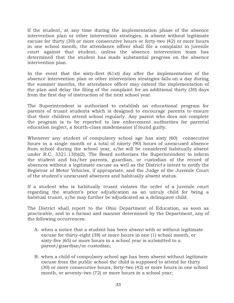If the student, at any time during the implementation phase of the absence intervention plan or other intervention strategies, is absent without legitimate excuse for thirty (30) or more consecutive hours or forty-two (42) or more hours in one school month, the attendance officer shall file a complaint in juvenile court against that student, unless the absence intervention team has determined that the student has made substantial progress on the absence intervention plan.

In the event that the sixty-first (61st) day after the implementation of the absence intervention plan or other intervention strategies falls on a day during the summer months, the attendance officer may extend the implementation of the plan and delay the filing of the complaint for an additional thirty (30) days from the first day of instruction of the next school year.

The Superintendent is authorized to establish an educational program for parents of truant students which is designed to encourage parents to ensure that their children attend school regularly. Any parent who does not complete the program is to be reported to law enforcement authorities for parental education neglect, a fourth-class misdemeanor if found guilty.

Whenever any student of compulsory school age has sixty (60) consecutive hours in a single month or a total of ninety (90) hours of unexcused absence from school during the school year, s/he will be considered habitually absent under R.C. 3321.13(b)(2). The Board authorizes the Superintendent to inform the student and his/her parents, guardian, or custodian of the record of absences without a legitimate excuse as well as the District's intent to notify the Registrar of Motor Vehicles, if appropriate, and the Judge of the Juvenile Court of the student's unexcused absences and habitually absent status.

If a student who is habitually truant violates the order of a juvenile court regarding the student's prior adjudication as an unruly child for being a habitual truant, s/he may further be adjudicated as a delinquent child.

The District shall report to the Ohio Department of Education, as soon as practicable, and in a format and manner determined by the Department, any of the following occurrences:

- A. when a notice that a student has been absent with or without legitimate excuse for thirty-eight (38) or more hours in one (1) school month, or sixty-five (65) or more hours in a school year is submitted to a parent/guardian/or custodian;
- B. when a child of compulsory school age has been absent without legitimate excuse from the public school the child is supposed to attend for thirty (30) or more consecutive hours, forty-two (42) or more hours in one school month, or seventy-two (72) or more hours in a school year;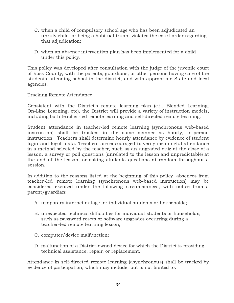- C. when a child of compulsory school age who has been adjudicated an unruly child for being a habitual truant violates the court order regarding that adjudication;
- D. when an absence intervention plan has been implemented for a child under this policy.

This policy was developed after consultation with the judge of the juvenile court of Ross County, with the parents, guardians, or other persons having care of the students attending school in the district, and with appropriate State and local agencies.

Tracking Remote Attendance

Consistent with the District's remote learning plan (e.j., Blended Learning, On-Line Learning, etc), the District will provide a variety of instruction models, including both teacher-led remote learning and self-directed remote learning.

Student attendance in teacher-led remote learning (synchronous web-based instruction) shall be tracked in the same manner as hourly, in-person instruction. Teachers shall determine hourly attendance by evidence of student login and logoff data. Teachers are encouraged to verify meaningful attendance in a method selected by the teacher, such as an ungraded quiz at the close of a lesson, a survey or poll questions (unrelated to the lesson and unpredictable) at the end of the lesson, or asking students questions at random throughout a session.

In addition to the reasons listed at the beginning of this policy, absences from teacher-led remote learning (synchronous web-based instruction) may be considered excused under the following circumstances, with notice from a parent/guardian:

- A. temporary internet outage for individual students or households;
- B. unexpected technical difficulties for individual students or households, such as password resets or software upgrades occurring during a teacher-led remote learning lesson;
- C. computer/device malfunction;
- D. malfunction of a District-owned device for which the District is providing technical assistance, repair, or replacement.

Attendance in self-directed remote learning (asynchronous) shall be tracked by evidence of participation, which may include, but is not limited to: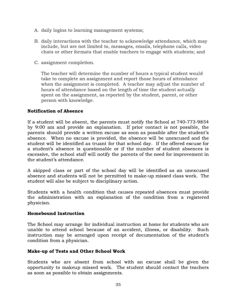- A. daily logins to learning management systems;
- B. daily interactions with the teacher to acknowledge attendance, which may include, but are not limited to, messages, emails, telephone calls, video chats or other formats that enable teachers to engage with students; and
- C. assignment completion.

The teacher will determine the number of hours a typical student would take to complete an assignment and report those hours of attendance when the assignment is completed. A teacher may adjust the number of hours of attendance based on the length of time the student actually spent on the assignment, as reported by the student, parent, or other person with knowledge.

## Notification of Absence

If a student will be absent, the parents must notify the School at 740-773-9854 by 9:00 am and provide an explanation. If prior contact is not possible, the parents should provide a written excuse as soon as possible after the student's absence. When no excuse is provided, the absence will be unexcused and the student will be identified as truant for that school day. If the offered excuse for a student's absence is questionable or if the number of student absences is excessive, the school staff will notify the parents of the need for improvement in the student's attendance.

A skipped class or part of the school day will be identified as an unexcused absence and students will not be permitted to make-up missed class work. The student will also be subject to disciplinary action.

Students with a health condition that causes repeated absences must provide the administration with an explanation of the condition from a registered physician.

## Homebound Instruction

The School may arrange for individual instruction at home for students who are unable to attend school because of an accident, illness, or disability. Such instruction may be arranged upon receipt of documentation of the student's condition from a physician.

## Make-up of Tests and Other School Work

Students who are absent from school with an excuse shall be given the opportunity to makeup missed work. The student should contact the teachers as soon as possible to obtain assignments.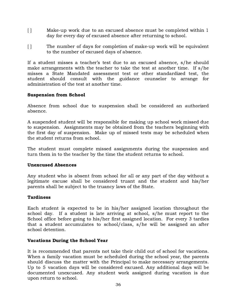- [ ] Make-up work due to an excused absence must be completed within 1 day for every day of excused absence after returning to school.
- [ ] The number of days for completion of make-up work will be equivalent to the number of excused days of absence.

If a student misses a teacher's test due to an excused absence, s/he should make arrangements with the teacher to take the test at another time. If s/he misses a State Mandated assessment test or other standardized test, the student should consult with the guidance counselor to arrange for administration of the test at another time.

## Suspension from School

Absence from school due to suspension shall be considered an authorized absence.

A suspended student will be responsible for making up school work missed due to suspension. Assignments may be obtained from the teachers beginning with the first day of suspension. Make up of missed tests may be scheduled when the student returns from school.

The student must complete missed assignments during the suspension and turn them in to the teacher by the time the student returns to school.

## Unexcused Absences

Any student who is absent from school for all or any part of the day without a legitimate excuse shall be considered truant and the student and his/her parents shall be subject to the truancy laws of the State.

## **Tardiness**

Each student is expected to be in his/her assigned location throughout the school day. If a student is late arriving at school, s/he must report to the School office before going to his/her first assigned location. For every 3 tardies that a student accumulates to school/class, s/he will be assigned an after school detention.

## Vacations During the School Year

It is recommended that parents not take their child out of school for vacations. When a family vacation must be scheduled during the school year, the parents should discuss the matter with the Principal to make necessary arrangements. Up to 5 vacation days will be considered excused. Any additional days will be documented unexcused. Any student work assigned during vacation is due upon return to school.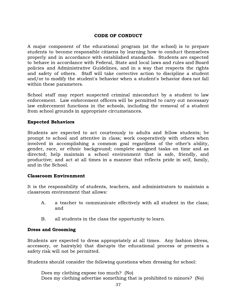## CODE OF CONDUCT

A major component of the educational program (at the school) is to prepare students to become responsible citizens by learning how to conduct themselves properly and in accordance with established standards. Students are expected to behave in accordance with Federal, State and local laws and rules and Board policies and Administrative Guidelines, and in a way that respects the rights and safety of others. Staff will take corrective action to discipline a student and/or to modify the student's behavior when a student's behavior does not fall within these parameters.

School staff may report suspected criminal misconduct by a student to law enforcement. Law enforcement officers will be permitted to carry out necessary law enforcement functions in the schools, including the removal of a student from school grounds in appropriate circumstances.

## Expected Behaviors

Students are expected to act courteously to adults and fellow students; be prompt to school and attentive in class; work cooperatively with others when involved in accomplishing a common goal regardless of the other's ability, gender, race, or ethnic background; complete assigned tasks on time and as directed; help maintain a school environment that is safe, friendly, and productive; and act at all times in a manner that reflects pride in self, family, and in the School.

#### Classroom Environment

It is the responsibility of students, teachers, and administrators to maintain a classroom environment that allows:

- A. a teacher to communicate effectively with all student in the class; and
- B. all students in the class the opportunity to learn.

## Dress and Grooming

Students are expected to dress appropriately at all times. Any fashion (dress, accessory, or hairstyle) that disrupts the educational process or presents a safety risk will not be permitted.

Students should consider the following questions when dressing for school:

Does my clothing expose too much? (No) Does my clothing advertise something that is prohibited to minors? (No)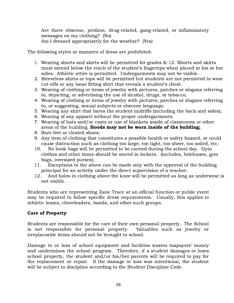Are there obscene, profane, drug-related, gang-related, or inflammatory messages on my clothing? (No) Am I dressed appropriately for the weather? (Yes)

The following styles or manners of dress are prohibited:

- 1. Wearing shorts and skirts will be permitted for grades K-12. Shorts and skirts must extend below the reach of the student's fingertips when placed at his or her sides. Athletic attire is permitted. Undergarments may not be visible.
- 2. Sleeveless shirts or tops will be permitted but students are not permitted to wear cut-offs or any loose fitting shirt that reveals a student's chest.
- 3. Wearing of clothing or items of jewelry with pictures, patches or slogans referring to, depicting, or advertising the use of alcohol, drugs, or tobacco;
- 4. Wearing of clothing or items of jewelry with pictures, patches or slogans referring to, or suggesting, sexual subjects or obscene language;
- 5. Wearing any shirt that bares the student midriffs (including the back and sides);
- 6. Wearing of any apparel without the proper undergarments;
- 7. Wearing of hats and/or coats or use of blankets inside of classrooms or other areas of the building. Hoods may not be worn inside of the building;
- 8. Bare feet or cleated shoes;
- 9. Any item of clothing that constitutes a possible health or safety hazard, or could cause distraction such as clothing too large, too tight, too sheer, too soiled, etc;
- 10. No book bags will be permitted to be carried during the school day. Gym clothes and other items should be stored in lockers. (includes, briefcases, gym bags, oversized purses);
- 11. Exceptions to the above can be made only with the approval of the building principal for an activity under the direct supervision of a teacher;
- 12. And holes in clothing above the knee will be permitted as long as underwear is not visible.

Students who are representing Zane Trace at an official function or public event may be required to follow specific dress requirements. Usually, this applies to athletic teams, cheerleaders, bands, and other such groups.

# Care of Property

Students are responsible for the care of their own personal property. The School is not responsible for personal property. Valuables such as jewelry or irreplaceable items should not be brought to school.

Damage to or loss of school equipment and facilities wastes taxpayers' money and undermines the school program. Therefore, if a student damages or loses school property, the student and/or his/her parents will be required to pay for the replacement or repair. If the damage or loss was intentional, the student will be subject to discipline according to the Student Discipline Code.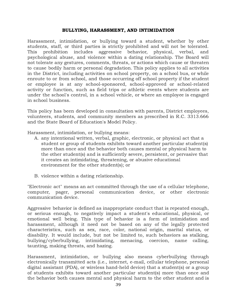#### BULLYING, HARASSMENT, AND INTIMIDATION

Harassment, intimidation, or bullying toward a student, whether by other students, staff, or third parties is strictly prohibited and will not be tolerated. This prohibition includes aggressive behavior, physical, verbal, and psychological abuse, and violence within a dating relationship. The Board will not tolerate any gestures, comments, threats, or actions which cause or threaten to cause bodily harm or personal degradation. This policy applies to all activities in the District, including activities on school property, on a school bus, or while enroute to or from school, and those occurring off school property if the student or employee is at any school-sponsored, school-approved or school-related activity or function, such as field trips or athletic events where students are under the school's control, in a school vehicle, or where an employee is engaged in school business.

This policy has been developed in consultation with parents, District employees, volunteers, students, and community members as prescribed in R.C. 3313.666 and the State Board of Education's Model Policy.

Harassment, intimidation, or bullying means:

- A. any intentional written, verbal, graphic, electronic, or physical act that a student or group of students exhibits toward another particular student(s) more than once and the behavior both causes mental or physical harm to the other student(s) and is sufficiently severe, persistent, or pervasive that it creates an intimidating, threatening, or abusive educational environment for the other student(s); or
- B. violence within a dating relationship.

"Electronic act" means an act committed through the use of a cellular telephone, computer, pager, personal communication device, or other electronic communication device.

Aggressive behavior is defined as inappropriate conduct that is repeated enough, or serious enough, to negatively impact a student's educational, physical, or emotional well being. This type of behavior is a form of intimidation and harassment, although it need not be based on any of the legally protected characteristics, such as sex, race, color, national origin, marital status, or disability. It would include, but not be limited to, such behaviors as stalking, bullying/cyberbullying, intimidating, menacing, coercion, name calling, taunting, making threats, and hazing.

Harassment, intimidation, or bullying also means cyberbullying through electronically transmitted acts (i.e., internet, e-mail, cellular telephone, personal digital assistant (PDA), or wireless hand-held device) that a student(s) or a group of students exhibits toward another particular student(s) more than once and the behavior both causes mental and physical harm to the other student and is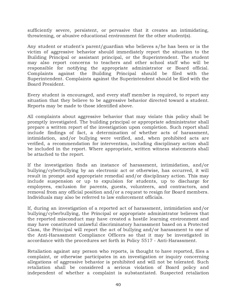sufficiently severe, persistent, or pervasive that it creates an intimidating, threatening, or abusive educational environment for the other student(s).

Any student or student's parent/guardian who believes s/he has been or is the victim of aggressive behavior should immediately report the situation to the Building Principal or assistant principal, or the Superintendent. The student may also report concerns to teachers and other school staff who will be responsible for notifying the appropriate administrator or Board official. Complaints against the Building Principal should be filed with the Superintendent. Complaints against the Superintendent should be filed with the Board President.

Every student is encouraged, and every staff member is required, to report any situation that they believe to be aggressive behavior directed toward a student. Reports may be made to those identified above.

All complaints about aggressive behavior that may violate this policy shall be promptly investigated. The building principal or appropriate administrator shall prepare a written report of the investigation upon completion. Such report shall include findings of fact, a determination of whether acts of harassment, intimidation, and/or bullying were verified, and, when prohibited acts are verified, a recommendation for intervention, including disciplinary action shall be included in the report. Where appropriate, written witness statements shall be attached to the report.

If the investigation finds an instance of harassment, intimidation, and/or bullying/cyberbullying by an electronic act or otherwise, has occurred, it will result in prompt and appropriate remedial and/or disciplinary action. This may include suspension or up to expulsion for students, up to discharge for employees, exclusion for parents, guests, volunteers, and contractors, and removal from any official position and/or a request to resign for Board members. Individuals may also be referred to law enforcement officials.

If, during an investigation of a reported act of harassment, intimidation and/or bullying/cyberbullying, the Principal or appropriate administrator believes that the reported misconduct may have created a hostile learning environment and may have constituted unlawful discriminatory harassment based on a Protected Class, the Principal will report the act of bullying and/or harassment to one of the Anti-Harassment Compliance Officers so that it may be investigated in accordance with the procedures set forth in Policy 5517 - Anti-Harassment.

Retaliation against any person who reports, is thought to have reported, files a complaint, or otherwise participates in an investigation or inquiry concerning allegations of aggressive behavior is prohibited and will not be tolerated. Such retaliation shall be considered a serious violation of Board policy and independent of whether a complaint is substantiated. Suspected retaliation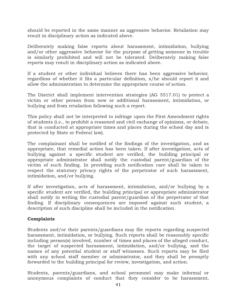should be reported in the same manner as aggressive behavior. Retaliation may result in disciplinary action as indicated above.

Deliberately making false reports about harassment, intimidation, bullying and/or other aggressive behavior for the purpose of getting someone in trouble is similarly prohibited and will not be tolerated. Deliberately making false reports may result in disciplinary action as indicated above.

If a student or other individual believes there has been aggressive behavior, regardless of whether it fits a particular definition, s/he should report it and allow the administration to determine the appropriate course of action.

The District shall implement intervention strategies (AG 5517.01) to protect a victim or other person from new or additional harassment, intimidation, or bullying and from retaliation following such a report.

This policy shall not be interpreted to infringe upon the First Amendment rights of students (i.e., to prohibit a reasoned and civil exchange of opinions, or debate, that is conducted at appropriate times and places during the school day and is protected by State or Federal law).

The complainant shall be notified of the findings of the investigation, and as appropriate, that remedial action has been taken. If after investigation, acts of bullying against a specific student are verified, the building principal or appropriate administrator shall notify the custodial parent/guardian of the victim of such finding. In providing such notification care shall be taken to respect the statutory privacy rights of the perpetrator of such harassment, intimidation, and/or bullying.

If after investigation, acts of harassment, intimidation, and/or bullying by a specific student are verified, the building principal or appropriate administrator shall notify in writing the custodial parent/guardian of the perpetrator of that finding. If disciplinary consequences are imposed against such student, a description of such discipline shall be included in the notification.

## Complaints

Students and/or their parents/guardians may file reports regarding suspected harassment, intimidation, or bullying. Such reports shall be reasonably specific including person(s) involved, number of times and places of the alleged conduct, the target of suspected harassment, intimidation, and/or bullying, and the names of any potential student or staff witnesses. Such reports may be filed with any school staff member or administrator, and they shall be promptly forwarded to the building principal for review, investigation, and action.

Students, parents/guardians, and school personnel may make informal or anonymous complaints of conduct that they consider to be harassment,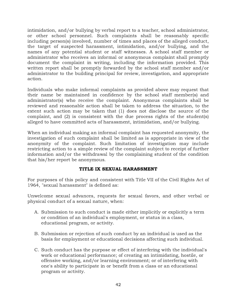intimidation, and/or bullying by verbal report to a teacher, school administrator, or other school personnel. Such complaints shall be reasonably specific including person(s) involved, number of times and places of the alleged conduct, the target of suspected harassment, intimidation, and/or bullying, and the names of any potential student or staff witnesses. A school staff member or administrator who receives an informal or anonymous complaint shall promptly document the complaint in writing, including the information provided. This written report shall be promptly forwarded by the school staff member and/or administrator to the building principal for review, investigation, and appropriate action.

Individuals who make informal complaints as provided above may request that their name be maintained in confidence by the school staff member(s) and administrator(s) who receive the complaint. Anonymous complaints shall be reviewed and reasonable action shall be taken to address the situation, to the extent such action may be taken that (1) does not disclose the source of the complaint, and (2) is consistent with the due process rights of the student(s) alleged to have committed acts of harassment, intimidation, and/or bullying.

When an individual making an informal complaint has requested anonymity, the investigation of such complaint shall be limited as is appropriate in view of the anonymity of the complaint. Such limitation of investigation may include restricting action to a simple review of the complaint subject to receipt of further information and/or the withdrawal by the complaining student of the condition that his/her report be anonymous.

## TITLE IX SEXUAL HARASSMENT

For purposes of this policy and consistent with Title VII of the Civil Rights Act of 1964, "sexual harassment" is defined as:

Unwelcome sexual advances, requests for sexual favors, and other verbal or physical conduct of a sexual nature, when:

- A. Submission to such conduct is made either implicitly or explicitly a term or condition of an individual's employment, or status in a class, educational program, or activity.
- B. Submission or rejection of such conduct by an individual is used as the basis for employment or educational decisions affecting such individual.
- C. Such conduct has the purpose or effect of interfering with the individual's work or educational performance; of creating an intimidating, hostile, or offensive working, and/or learning environment; or of interfering with one's ability to participate in or benefit from a class or an educational program or activity.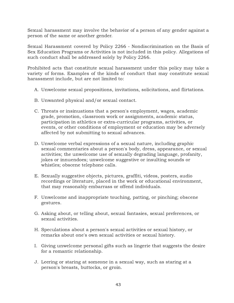Sexual harassment may involve the behavior of a person of any gender against a person of the same or another gender.

Sexual Harassment covered by Policy 2266 - Nondiscrimination on the Basis of Sex Education Programs or Activities is not included in this policy. Allegations of such conduct shall be addressed solely by Policy 2266.

Prohibited acts that constitute sexual harassment under this policy may take a variety of forms. Examples of the kinds of conduct that may constitute sexual harassment include, but are not limited to:

- A. Unwelcome sexual propositions, invitations, solicitations, and flirtations.
- B. Unwanted physical and/or sexual contact.
- C. Threats or insinuations that a person's employment, wages, academic grade, promotion, classroom work or assignments, academic status, participation in athletics or extra-curricular programs, activities, or events, or other conditions of employment or education may be adversely affected by not submitting to sexual advances.
- D. Unwelcome verbal expressions of a sexual nature, including graphic sexual commentaries about a person's body, dress, appearance, or sexual activities; the unwelcome use of sexually degrading language, profanity, jokes or innuendoes; unwelcome suggestive or insulting sounds or whistles; obscene telephone calls.
- E. Sexually suggestive objects, pictures, graffiti, videos, posters, audio recordings or literature, placed in the work or educational environment, that may reasonably embarrass or offend individuals.
- F. Unwelcome and inappropriate touching, patting, or pinching; obscene gestures.
- G. Asking about, or telling about, sexual fantasies, sexual preferences, or sexual activities.
- H. Speculations about a person's sexual activities or sexual history, or remarks about one's own sexual activities or sexual history.
- I. Giving unwelcome personal gifts such as lingerie that suggests the desire for a romantic relationship.
- J. Leering or staring at someone in a sexual way, such as staring at a person's breasts, buttocks, or groin.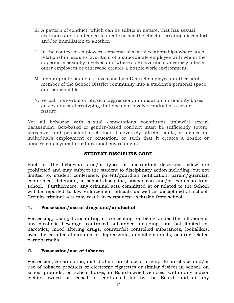- K. A pattern of conduct, which can be subtle in nature, that has sexual overtones and is intended to create or has the effect of creating discomfort and/or humiliation to another.
- L. In the context of employees, consensual sexual relationships where such relationship leads to favoritism of a subordinate employee with whom the superior is sexually involved and where such favoritism adversely affects other employees or otherwise creates a hostile work environment.
- M. Inappropriate boundary invasions by a District employee or other adult member of the School District community into a student's personal space and personal life.
- N. Verbal, nonverbal or physical aggression, intimidation, or hostility based on sex or sex-stereotyping that does not involve conduct of a sexual nature.

Not all behavior with sexual connotations constitutes unlawful sexual harassment. Sex-based or gender-based conduct must be sufficiently severe, pervasive, and persistent such that it adversely affects, limits, or denies an individual's employment or education, or such that it creates a hostile or abusive employment or educational environment.

# STUDENT DISCIPLINE CODE

Each of the behaviors and/or types of misconduct described below are prohibited and may subject the student to disciplinary action including, but not limited to, student conference, parent/guardian notification, parent/guardian conference, detention, in-school discipline, suspension and/or expulsion from school. Furthermore, any criminal acts committed at or related to the School will be reported to law enforcement officials as well as disciplined at school. Certain criminal acts may result in permanent exclusion from school.

## 1. Possession/use of drugs and/or alcohol

Possessing, using, transmitting or concealing, or being under the influence of any alcoholic beverage, controlled substance including, but not limited to, narcotics, mood altering drugs, counterfeit controlled substances, lookalikes, over the counter stimulants or depressants, anabolic steroids, or drug related paraphernalia.

## 2. Possession/use of tobacco

Possession, consumption, distribution, purchase or attempt to purchase, and/or use of tobacco products or electronic cigarettes or similar devices in school, on school grounds, on school buses, in Board-owned vehicles, within any indoor facility owned or leased or contracted for by the Board, and at any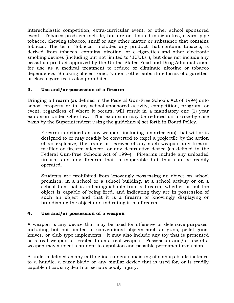interscholastic competition, extra-curricular event, or other school sponsored event. Tobacco products include, but are not limited to cigarettes, cigars, pipe tobacco, chewing tobacco, snuff or any other matter or substance that contains tobacco. The term "tobacco" includes any product that contains tobacco, is derived from tobacco, contains nicotine, or e-cigarettes and other electronic smoking devices (including but not limited to "JUULs''), but does not include any cessation product approved by the United States Food and Drug Administration for use as a medical treatment to reduce or eliminate nicotine or tobacco dependence. Smoking of electronic, "vapor", other substitute forms of cigarettes, or clove cigarettes is also prohibited.

## 3. Use and/or possession of a firearm

Bringing a firearm (as defined in the Federal Gun-Free Schools Act of 1994) onto school property or to any school-sponsored activity, competition, program, or event, regardless of where it occurs, will result in a mandatory one (1) year expulsion under Ohio law. This expulsion may be reduced on a case-by-case basis by the Superintendent using the guideline(s) set forth in Board Policy.

Firearm is defined as any weapon (including a starter gun) that will or is designed to or may readily be converted to expel a projectile by the action of an explosive; the frame or receiver of any such weapon; any firearm muffler or firearm silencer; or any destructive device (as defined in the Federal Gun-Free Schools Act of 1994). Firearms include any unloaded firearm and any firearm that is inoperable but that can be readily operated.

Students are prohibited from knowingly possessing an object on school premises, in a school or a school building, at a school activity or on a school bus that is indistinguishable from a firearm, whether or not the object is capable of being fired, and indicating they are in possession of such an object and that it is a firearm or knowingly displaying or brandishing the object and indicating it is a firearm.

## 4. Use and/or possession of a weapon

A weapon is any device that may be used for offensive or defensive purposes, including but not limited to conventional objects such as guns, pellet guns, knives, or club type implements. It may also include any toy that is presented as a real weapon or reacted to as a real weapon. Possession and/or use of a weapon may subject a student to expulsion and possible permanent exclusion.

A knife is defined as any cutting instrument consisting of a sharp blade fastened to a handle, a razor blade or any similar device that is used for, or is readily capable of causing death or serious bodily injury.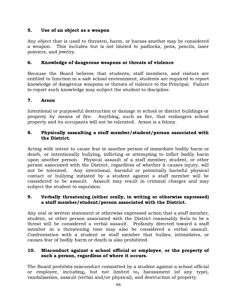## 5. Use of an object as a weapon

Any object that is used to threaten, harm, or harass another may be considered a weapon. This includes but is not limited to padlocks, pens, pencils, laser pointers, and jewelry.

# 6. Knowledge of dangerous weapons or threats of violence

Because the Board believes that students, staff members, and visitors are entitled to function in a safe school environment, students are required to report knowledge of dangerous weapons or threats of violence to the Principal. Failure to report such knowledge may subject the student to discipline.

## 7. Arson

Intentional or purposeful destruction or damage to school or district buildings or property by means of fire. Anything, such as fire, that endangers school property and its occupants will not be tolerated. Arson is a felony.

## 8. Physically assaulting a staff member/student/person associated with the District.

Acting with intent to cause fear in another person of immediate bodily harm or death, or intentionally bullying, inflicting or attempting to inflict bodily harm upon another person. Physical assault of a staff member, student, or other person associated with the District, regardless of whether it causes injury, will not be tolerated. Any intentional, harmful or potentially harmful physical contact or bullying initiated by a student against a staff member will be considered to be assault. Assault may result in criminal charges and may subject the student to expulsion.

## 9. Verbally threatening (either orally, in writing or otherwise expressed) a staff member/student/person associated with the District.

Any oral or written statement or otherwise expressed action that a staff member, student, or other person associated with the District reasonably feels to be a threat will be considered a verbal assault. Profanity directed toward a staff member in a threatening tone may also be considered a verbal assault. Confrontation with a student or staff member that bullies, intimidates, or causes fear of bodily harm or death is also prohibited.

## 10. Misconduct against a school official or employee, or the property of such a person, regardless of where it occurs.

The Board prohibits misconduct committed by a student against a school official or employee, including, but not limited to, harassment (of any type), vandalization, assault (verbal and/or physical), and destruction of property.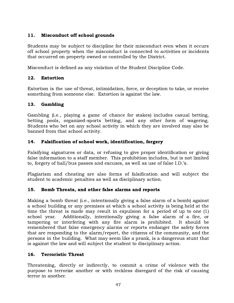# 11. Misconduct off school grounds

Students may be subject to discipline for their misconduct even when it occurs off school property when the misconduct is connected to activities or incidents that occurred on property owned or controlled by the District.

Misconduct is defined as any violation of the Student Discipline Code.

# 12. Extortion

Extortion is the use of threat, intimidation, force, or deception to take, or receive something from someone else. Extortion is against the law.

## 13. Gambling

Gambling (i.e., playing a game of chance for stakes) includes casual betting, betting pools, organized-sports betting, and any other form of wagering. Students who bet on any school activity in which they are involved may also be banned from that school activity.

# 14. Falsification of school work, identification, forgery

Falsifying signatures or data, or refusing to give proper identification or giving false information to a staff member. This prohibition includes, but is not limited to, forgery of hall/bus passes and excuses, as well as use of false I.D.'s.

Plagiarism and cheating are also forms of falsification and will subject the student to academic penalties as well as disciplinary action.

## 15. Bomb Threats, and other false alarms and reports

Making a bomb threat (i.e., intentionally giving a false alarm of a bomb) against a school building or any premises at which a school activity is being held at the time the threat is made may result in expulsion for a period of up to one (1) school year. Additionally, intentionally giving a false alarm of a fire, or tampering or interfering with any fire alarm is prohibited. It should be remembered that false emergency alarms or reports endanger the safety forces that are responding to the alarm/report, the citizens of the community, and the persons in the building. What may seem like a prank, is a dangerous stunt that is against the law and will subject the student to disciplinary action.

## 16. Terroristic Threat

Threatening, directly or indirectly, to commit a crime of violence with the purpose to terrorize another or with reckless disregard of the risk of causing terror in another.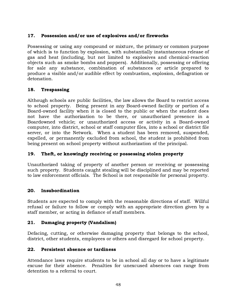# 17. Possession and/or use of explosives and/or fireworks

Possessing or using any compound or mixture, the primary or common purpose of which is to function by explosion, with substantially instantaneous release of gas and heat (including, but not limited to explosives and chemical-reaction objects such as smoke bombs and poppers). Additionally, possessing or offering for sale any substance, combination of substances or article prepared to produce a visible and/or audible effect by combustion, explosion, deflagration or detonation.

# 18. Trespassing

Although schools are public facilities, the law allows the Board to restrict access to school property. Being present in any Board-owned facility or portion of a Board-owned facility when it is closed to the public or when the student does not have the authorization to be there, or unauthorized presence in a Boardowned vehicle; or unauthorized access or activity in a Board-owned computer, into district, school or staff computer files, into a school or district file server, or into the Network. When a student has been removed, suspended, expelled, or permanently excluded from school, the student is prohibited from being present on school property without authorization of the principal.

# 19. Theft, or knowingly receiving or possessing stolen property

Unauthorized taking of property of another person or receiving or possessing such property. Students caught stealing will be disciplined and may be reported to law enforcement officials. The School is not responsible for personal property.

## 20. Insubordination

Students are expected to comply with the reasonable directions of staff. Willful refusal or failure to follow or comply with an appropriate direction given by a staff member, or acting in defiance of staff members.

## 21. Damaging property (Vandalism)

Defacing, cutting, or otherwise damaging property that belongs to the school, district, other students, employees or others and disregard for school property.

## 22. Persistent absence or tardiness

Attendance laws require students to be in school all day or to have a legitimate excuse for their absence. Penalties for unexcused absences can range from detention to a referral to court.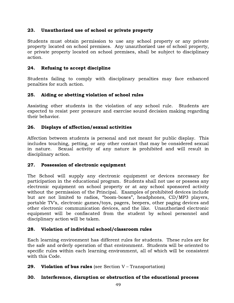# 23. Unauthorized use of school or private property

Students must obtain permission to use any school property or any private property located on school premises. Any unauthorized use of school property, or private property located on school premises, shall be subject to disciplinary action.

# 24. Refusing to accept discipline

Students failing to comply with disciplinary penalties may face enhanced penalties for such action.

# 25. Aiding or abetting violation of school rules

Assisting other students in the violation of any school rule. Students are expected to resist peer pressure and exercise sound decision making regarding their behavior.

# 26. Displays of affection/sexual activities

Affection between students is personal and not meant for public display. This includes touching, petting, or any other contact that may be considered sexual in nature. Sexual activity of any nature is prohibited and will result in disciplinary action.

## 27. Possession of electronic equipment

The School will supply any electronic equipment or devices necessary for participation in the educational program. Students shall not use or possess any electronic equipment on school property or at any school sponsored activity without the permission of the Principal. Examples of prohibited devices include but are not limited to radios, "boom-boxes", headphones, CD/MP3 players, portable TV's, electronic games/toys, pagers, beepers, other paging devices and other electronic communication devices, and the like. Unauthorized electronic equipment will be confiscated from the student by school personnel and disciplinary action will be taken.

## 28. Violation of individual school/classroom rules

Each learning environment has different rules for students. These rules are for the safe and orderly operation of that environment. Students will be oriented to specific rules within each learning environment, all of which will be consistent with this Code.

**29. Violation of bus rules** (see Section  $V - T$  ransportation)

# 30. Interference, disruption or obstruction of the educational process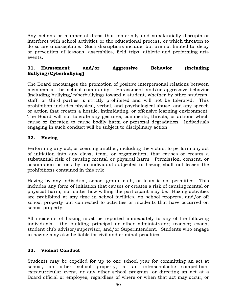Any actions or manner of dress that materially and substantially disrupts or interferes with school activities or the educational process, or which threaten to do so are unacceptable. Such disruptions include, but are not limited to, delay or prevention of lessons, assemblies, field trips, athletic and performing arts events.

# 31. Harassment and/or Aggressive Behavior (including Bullying/Cyberbullying)

The Board encourages the promotion of positive interpersonal relations between members of the school community. Harassment and/or aggressive behavior (including bullying/cyberbullying) toward a student, whether by other students, staff, or third parties is strictly prohibited and will not be tolerated. This prohibition includes physical, verbal, and psychological abuse, and any speech or action that creates a hostile, intimidating, or offensive learning environment. The Board will not tolerate any gestures, comments, threats, or actions which cause or threaten to cause bodily harm or personal degradation. Individuals engaging in such conduct will be subject to disciplinary action.

## 32. Hazing

Performing any act, or coercing another, including the victim, to perform any act of initiation into any class, team, or organization, that causes or creates a substantial risk of causing mental or physical harm. Permission, consent, or assumption or risk by an individual subjected to hazing shall not lessen the prohibitions contained in this rule.

Hazing by any individual, school group, club, or team is not permitted. This includes any form of initiation that causes or creates a risk of causing mental or physical harm, no matter how willing the participant may be. Hazing activities are prohibited at any time in school facilities, on school property, and/or off school property but connected to activities or incidents that have occurred on school property.

All incidents of hazing must be reported immediately to any of the following individuals: the building principal or other administrator; teacher; coach; student club advisor/supervisor, and/or Superintendent. Students who engage in hazing may also be liable for civil and criminal penalties.

## 33. Violent Conduct

Students may be expelled for up to one school year for committing an act at school, on other school property, at an interscholastic competition, extracurricular event, or any other school program, or directing an act at a Board official or employee, regardless of where or when that act may occur, or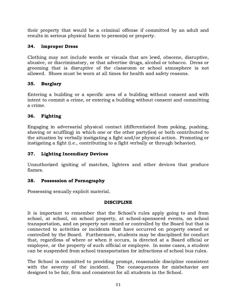their property that would be a criminal offense if committed by an adult and results in serious physical harm to person(s) or property.

# 34. Improper Dress

Clothing may not include words or visuals that are lewd, obscene, disruptive, abusive, or discriminatory, or that advertise drugs, alcohol or tobacco. Dress or grooming that is disruptive of the classroom or school atmosphere is not allowed. Shoes must be worn at all times for health and safety reasons.

# 35. Burglary

Entering a building or a specific area of a building without consent and with intent to commit a crime, or entering a building without consent and committing a crime.

# 36. Fighting

Engaging in adversarial physical contact (differentiated from poking, pushing, shoving or scuffling) in which one or the other party(ies) or both contributed to the situation by verbally instigating a fight and/or physical action. Promoting or instigating a fight (i.e., contributing to a fight verbally or through behavior).

# 37. Lighting Incendiary Devices

Unauthorized igniting of matches, lighters and other devices that produce flames.

# 38. Possession of Pornography

Possessing sexually explicit material.

# DISCIPLINE

It is important to remember that the School's rules apply going to and from school, at school, on school property, at school-sponsored events, on school transportation, and on property not owned or controlled by the Board but that is connected to activities or incidents that have occurred on property owned or controlled by the Board. Furthermore, students may be disciplined for conduct that, regardless of where or when it occurs, is directed at a Board official or employee, or the property of such official or employee. In some cases, a student can be suspended from school transportation for infractions of school bus rules.

The School is committed to providing prompt, reasonable discipline consistent with the severity of the incident. The consequences for misbehavior are designed to be fair, firm and consistent for all students in the School.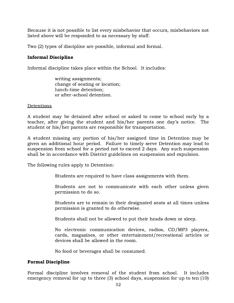Because it is not possible to list every misbehavior that occurs, misbehaviors not listed above will be responded to as necessary by staff.

Two (2) types of discipline are possible, informal and formal.

## Informal Discipline

Informal discipline takes place within the School. It includes:

writing assignments; change of seating or location; lunch-time detention; or after-school detention.

#### **Detentions**

A student may be detained after school or asked to come to school early by a teacher, after giving the student and his/her parents one day's notice. The student or his/her parents are responsible for transportation.

A student missing any portion of his/her assigned time in Detention may be given an additional hour period. Failure to timely serve Detention may lead to suspension from school for a period not to exceed 2 days. Any such suspension shall be in accordance with District guidelines on suspension and expulsion.

The following rules apply to Detention:

Students are required to have class assignments with them.

Students are not to communicate with each other unless given permission to do so.

Students are to remain in their designated seats at all times unless permission is granted to do otherwise.

Students shall not be allowed to put their heads down or sleep.

No electronic communication devices, radios, CD/MP3 players, cards, magazines, or other entertainment/recreational articles or devices shall be allowed in the room.

No food or beverages shall be consumed.

## Formal Discipline

Formal discipline involves removal of the student from school. It includes emergency removal for up to three (3) school days, suspension for up to ten (10)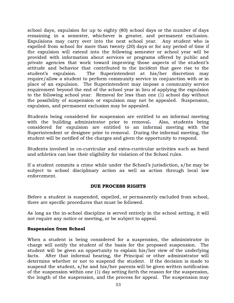school days, expulsion for up to eighty (80) school days or the number of days remaining in a semester, whichever is greater, and permanent exclusion. Expulsions may carry over into the next school year. Any student who is expelled from school for more than twenty (20) days or for any period of time if the expulsion will extend into the following semester or school year will be provided with information about services or programs offered by public and private agencies that work toward improving those aspects of the student's attitude and behavior that contributed to the incident that gave rise to the student's expulsion. The Superintendent at his/her discretion may require/allow a student to perform community service in conjunction with or in place of an expulsion. The Superintendent may impose a community service requirement beyond the end of the school year in lieu of applying the expulsion to the following school year. Removal for less than one (1) school day without the possibility of suspension or expulsion may not be appealed. Suspension, expulsion, and permanent exclusion may be appealed.

Students being considered for suspension are entitled to an informal meeting with the building administrator prior to removal. Also, students being considered for expulsion are entitled to an informal meeting with the Superintendent or designee prior to removal. During the informal meeting, the student will be notified of the charges and given the opportunity to respond.

Students involved in co-curricular and extra-curricular activities such as band and athletics can lose their eligibility for violation of the School rules.

If a student commits a crime while under the School's jurisdiction, s/he may be subject to school disciplinary action as well as action through local law enforcement.

## DUE PROCESS RIGHTS

Before a student is suspended, expelled, or permanently excluded from school, there are specific procedures that must be followed.

As long as the in-school discipline is served entirely in the school setting, it will not require any notice or meeting, or be subject to appeal.

## Suspension from School

When a student is being considered for a suspension, the administrator in charge will notify the student of the basis for the proposed suspension. The student will be given an opportunity to explain his/her view of the underlying facts. After that informal hearing, the Principal or other administrator will determine whether or not to suspend the student. If the decision is made to suspend the student, s/he and his/her parents will be given written notification of the suspension within one (1) day setting forth the reason for the suspension, the length of the suspension, and the process for appeal. The suspension may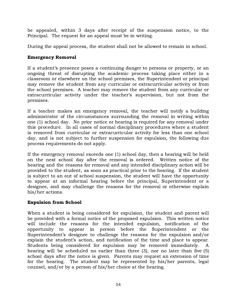be appealed, within 3 days after receipt of the suspension notice, to the Principal. The request for an appeal must be in writing.

During the appeal process, the student shall not be allowed to remain in school.

## Emergency Removal

If a student's presence poses a continuing danger to persons or property, or an ongoing threat of disrupting the academic process taking place either in a classroom or elsewhere on the school premises, the Superintendent or principal may remove the student from any curricular or extracurricular activity or from the school premises. A teacher may remove the student from any curricular or extracurricular activity under the teacher's supervision, but not from the premises.

If a teacher makes an emergency removal, the teacher will notify a building administrator of the circumstances surrounding the removal in writing within one (1) school day. No prior notice or hearing is required for any removal under this procedure. In all cases of normal disciplinary procedures where a student is removed from curricular or extracurricular activity for less than one school day, and is not subject to further suspension for expulsion, the following due process requirements do not apply.

If the emergency removal exceeds one (1) school day, then a hearing will be held on the next school day after the removal is ordered. Written notice of the hearing and the reasons for removal and any intended disciplinary action will be provided to the student, as soon as practical prior to the hearing. If the student is subject to an out of school suspension, the student will have the opportunity to appear at an informal hearing before the principal, Superintendent or a designee, and may challenge the reasons for the removal or otherwise explain his/her actions.

## Expulsion from School

When a student is being considered for expulsion, the student and parent will be provided with a formal notice of the proposed expulsion. This written notice will include the reasons for the intended expulsion, notification of the opportunity to appear in person before the Superintendent or the Superintendent's designee to challenge the reasons for the expulsion and/or explain the student's action, and notification of the time and place to appear. Students being considered for expulsion may be removed immediately. A hearing will be scheduled no earlier than three (3), nor no later than five (5) school days after the notice is given. Parents may request an extension of time for the hearing. The student may be represented by his/her parents, legal counsel, and/or by a person of his/her choice at the hearing.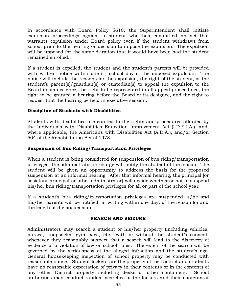In accordance with Board Policy 5610, the Superintendent shall initiate expulsion proceedings against a student who has committed an act that warrants expulsion under Board policy even if the student withdraws from school prior to the hearing or decision to impose the expulsion. The expulsion will be imposed for the same duration that it would have been had the student remained enrolled.

If a student is expelled, the student and the student's parents will be provided with written notice within one (1) school day of the imposed expulsion. The notice will include the reasons for the expulsion, the right of the student, or the student's parent(s)/guardian(s) or custodian(s) to appeal the expulsion to the Board or its designee, the right to be represented in all appeal proceedings, the right to be granted a hearing before the Board or its designee, and the right to request that the hearing be held in executive session.

## Discipline of Students with Disabilities

Students with disabilities are entitled to the rights and procedures afforded by the Individuals with Disabilities Education Improvement Act (I.D.E.I.A.), and, where applicable, the Americans with Disabilities Act (A.D.A.), and/or Section 504 of the Rehabilitation Act of 1973.

## Suspension of Bus Riding/Transportation Privileges

When a student is being considered for suspension of bus riding/transportation privileges, the administrator in charge will notify the student of the reason. The student will be given an opportunity to address the basis for the proposed suspension at an informal hearing. After that informal hearing, the principal [or assistant principal or other administrator] will decide whether or not to suspend his/her bus riding/transportation privileges for all or part of the school year.

If a student's bus riding/transportation privileges are suspended, s/he and his/her parents will be notified, in writing within one day, of the reason for and the length of the suspension.

## SEARCH AND SEIZURE

Administrators may search a student or his/her property (including vehicles, purses, knapsacks, gym bags, etc.) with or without the student's consent, whenever they reasonably suspect that a search will lead to the discovery of evidence of a violation of law or school rules. The extent of the search will be governed by the seriousness of the alleged infraction and the student's age. General housekeeping inspection of school property may be conducted with reasonable notice. Student lockers are the property of the District and students have no reasonable expectation of privacy in their contents or in the contents of any other District property including desks or other containers. School authorities may conduct random searches of the lockers and their contents at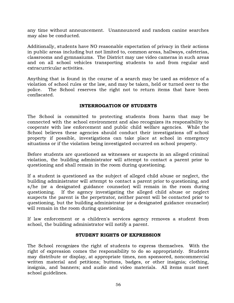any time without announcement. Unannounced and random canine searches may also be conducted.

Additionally, students have NO reasonable expectation of privacy in their actions in public areas including but not limited to, common areas, hallways, cafeterias, classrooms and gymnasiums. The District may use video cameras in such areas and on all school vehicles transporting students to and from regular and extracurricular activities.

Anything that is found in the course of a search may be used as evidence of a violation of school rules or the law, and may be taken, held or turned over to the police. The School reserves the right not to return items that have been confiscated.

## INTERROGATION OF STUDENTS

The School is committed to protecting students from harm that may be connected with the school environment and also recognizes its responsibility to cooperate with law enforcement and public child welfare agencies. While the School believes these agencies should conduct their investigations off school property if possible, investigations can take place at school in emergency situations or if the violation being investigated occurred on school property.

Before students are questioned as witnesses or suspects in an alleged criminal violation, the building administrator will attempt to contact a parent prior to questioning and shall remain in the room during questioning.

If a student is questioned as the subject of alleged child abuse or neglect, the building administrator will attempt to contact a parent prior to questioning, and s/he (or a designated guidance counselor) will remain in the room during questioning. If the agency investigating the alleged child abuse or neglect suspects the parent is the perpetrator, neither parent will be contacted prior to questioning, but the building administrator (or a designated guidance counselor) will remain in the room during questioning.

If law enforcement or a children's services agency removes a student from school, the building administrator will notify a parent.

## STUDENT RIGHTS OF EXPRESSION

The School recognizes the right of students to express themselves. With the right of expression comes the responsibility to do so appropriately. Students may distribute or display, at appropriate times, non sponsored, noncommercial written material and petitions; buttons, badges, or other insignia; clothing, insignia, and banners; and audio and video materials. All items must meet school guidelines.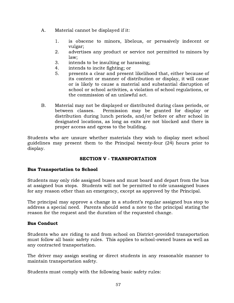- A. Material cannot be displayed if it:
	- 1. is obscene to minors, libelous, or pervasively indecent or vulgar;
	- 2. advertises any product or service not permitted to minors by law;
	- 3. intends to be insulting or harassing;
	- 4. intends to incite fighting; or
	- 5. presents a clear and present likelihood that, either because of its content or manner of distribution or display, it will cause or is likely to cause a material and substantial disruption of school or school activities, a violation of school regulations, or the commission of an unlawful act.
- B. Material may not be displayed or distributed during class periods, or between classes. Permission may be granted for display or distribution during lunch periods, and/or before or after school in designated locations, as long as exits are not blocked and there is proper access and egress to the building.

Students who are unsure whether materials they wish to display meet school guidelines may present them to the Principal twenty-four (24) hours prior to display.

## SECTION V - TRANSPORTATION

## Bus Transportation to School

Students may only ride assigned buses and must board and depart from the bus at assigned bus stops. Students will not be permitted to ride unassigned buses for any reason other than an emergency, except as approved by the Principal.

The principal may approve a change in a student's regular assigned bus stop to address a special need. Parents should send a note to the principal stating the reason for the request and the duration of the requested change.

## Bus Conduct

Students who are riding to and from school on District-provided transportation must follow all basic safety rules. This applies to school-owned buses as well as any contracted transportation.

The driver may assign seating or direct students in any reasonable manner to maintain transportation safety.

Students must comply with the following basic safety rules: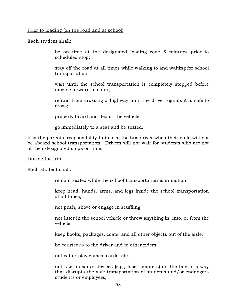#### Prior to loading (on the road and at school)

Each student shall:

be on time at the designated loading zone 5 minutes prior to scheduled stop;

stay off the road at all times while walking to and waiting for school transportation;

wait until the school transportation is completely stopped before moving forward to enter;

refrain from crossing a highway until the driver signals it is safe to cross;

properly board and depart the vehicle;

go immediately to a seat and be seated.

It is the parents' responsibility to inform the bus driver when their child will not be aboard school transportation. Drivers will not wait for students who are not at their designated stops on time.

#### During the trip

Each student shall:

remain seated while the school transportation is in motion;

keep head, hands, arms, and legs inside the school transportation at all times;

not push, shove or engage in scuffling;

not litter in the school vehicle or throw anything in, into, or from the vehicle;

keep books, packages, coats, and all other objects out of the aisle;

be courteous to the driver and to other riders;

not eat or play games, cards, etc.;

not use nuisance devices (e.g., laser pointers) on the bus in a way that disrupts the safe transportation of students and/or endangers students or employees;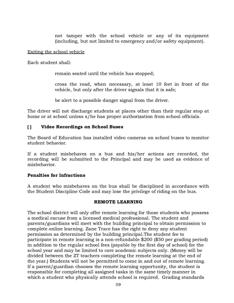not tamper with the school vehicle or any of its equipment (including, but not limited to emergency and/or safety equipment).

#### Exiting the school vehicle

Each student shall:

remain seated until the vehicle has stopped;

cross the road, when necessary, at least 10 feet in front of the vehicle, but only after the driver signals that it is safe;

be alert to a possible danger signal from the driver.

The driver will not discharge students at places other than their regular stop at home or at school unless s/he has proper authorization from school officials.

## [ ] Video Recordings on School Buses

The Board of Education has installed video cameras on school buses to monitor student behavior.

If a student misbehaves on a bus and his/her actions are recorded, the recording will be submitted to the Principal and may be used as evidence of misbehavior.

## Penalties for Infractions

A student who misbehaves on the bus shall be disciplined in accordance with the Student Discipline Code and may lose the privilege of riding on the bus.

## REMOTE LEARNING

The school district will only offer remote learning for those students who possess a medical excuse from a licensed medical professional. The student and parents/guardians will meet with the building principal to obtain permission to complete online learning. Zane Trace has the right to deny any student permission as determined by the building principal.The student fee to participate in remote learning is a non-refundable \$200 (\$50 per grading period) in addition to the regular school fees (payable by the first day of school) for the school year and may be limited to core academic subjects only. (Money will be divided between the ZT teachers completing the remote learning at the end of the year.) Students will not be permitted to come in and out of remote learning. If a parent/guardian chooses the remote learning opportunity, the student is responsible for completing all assigned tasks in the same timely manner in which a student who physically attends school is required. Grading standards